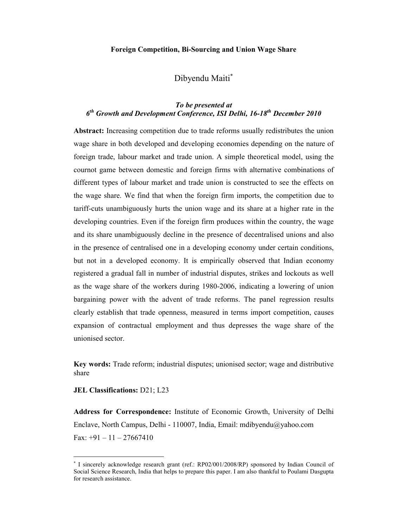#### **Foreign Competition, Bi-Sourcing and Union Wage Share**

## Dibyendu Maiti<sup>∗</sup>

## *To be presented at 6 th Growth and Development Conference, ISI Delhi, 16-18 th December 2010*

**Abstract:** Increasing competition due to trade reforms usually redistributes the union wage share in both developed and developing economies depending on the nature of foreign trade, labour market and trade union. A simple theoretical model, using the cournot game between domestic and foreign firms with alternative combinations of different types of labour market and trade union is constructed to see the effects on the wage share. We find that when the foreign firm imports, the competition due to tariff-cuts unambiguously hurts the union wage and its share at a higher rate in the developing countries. Even if the foreign firm produces within the country, the wage and its share unambiguously decline in the presence of decentralised unions and also in the presence of centralised one in a developing economy under certain conditions, but not in a developed economy. It is empirically observed that Indian economy registered a gradual fall in number of industrial disputes, strikes and lockouts as well as the wage share of the workers during 1980-2006, indicating a lowering of union bargaining power with the advent of trade reforms. The panel regression results clearly establish that trade openness, measured in terms import competition, causes expansion of contractual employment and thus depresses the wage share of the unionised sector.

**Key words:** Trade reform; industrial disputes; unionised sector; wage and distributive share

#### **JEL Classifications:** D21; L23

-

**Address for Correspondence:** Institute of Economic Growth, University of Delhi Enclave, North Campus, Delhi - 110007, India, Email: mdibyendu@yahoo.com Fax:  $+91 - 11 - 27667410$ 

<sup>∗</sup> I sincerely acknowledge research grant (ref.: RP02/001/2008/RP) sponsored by Indian Council of Social Science Research, India that helps to prepare this paper. I am also thankful to Poulami Dasgupta for research assistance.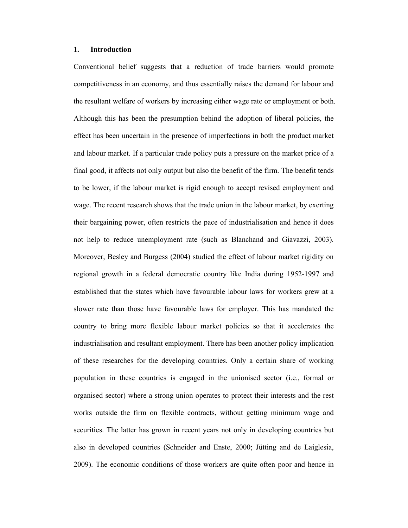## **1. Introduction**

Conventional belief suggests that a reduction of trade barriers would promote competitiveness in an economy, and thus essentially raises the demand for labour and the resultant welfare of workers by increasing either wage rate or employment or both. Although this has been the presumption behind the adoption of liberal policies, the effect has been uncertain in the presence of imperfections in both the product market and labour market. If a particular trade policy puts a pressure on the market price of a final good, it affects not only output but also the benefit of the firm. The benefit tends to be lower, if the labour market is rigid enough to accept revised employment and wage. The recent research shows that the trade union in the labour market, by exerting their bargaining power, often restricts the pace of industrialisation and hence it does not help to reduce unemployment rate (such as Blanchand and Giavazzi, 2003). Moreover, Besley and Burgess (2004) studied the effect of labour market rigidity on regional growth in a federal democratic country like India during 1952-1997 and established that the states which have favourable labour laws for workers grew at a slower rate than those have favourable laws for employer. This has mandated the country to bring more flexible labour market policies so that it accelerates the industrialisation and resultant employment. There has been another policy implication of these researches for the developing countries. Only a certain share of working population in these countries is engaged in the unionised sector (i.e., formal or organised sector) where a strong union operates to protect their interests and the rest works outside the firm on flexible contracts, without getting minimum wage and securities. The latter has grown in recent years not only in developing countries but also in developed countries (Schneider and Enste, 2000; Jütting and de Laiglesia, 2009). The economic conditions of those workers are quite often poor and hence in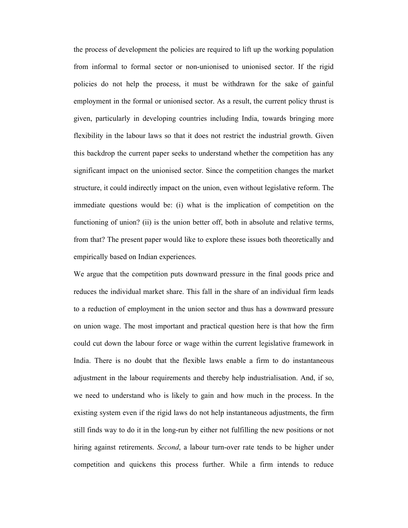the process of development the policies are required to lift up the working population from informal to formal sector or non-unionised to unionised sector. If the rigid policies do not help the process, it must be withdrawn for the sake of gainful employment in the formal or unionised sector. As a result, the current policy thrust is given, particularly in developing countries including India, towards bringing more flexibility in the labour laws so that it does not restrict the industrial growth. Given this backdrop the current paper seeks to understand whether the competition has any significant impact on the unionised sector. Since the competition changes the market structure, it could indirectly impact on the union, even without legislative reform. The immediate questions would be: (i) what is the implication of competition on the functioning of union? (ii) is the union better off, both in absolute and relative terms, from that? The present paper would like to explore these issues both theoretically and empirically based on Indian experiences.

We argue that the competition puts downward pressure in the final goods price and reduces the individual market share. This fall in the share of an individual firm leads to a reduction of employment in the union sector and thus has a downward pressure on union wage. The most important and practical question here is that how the firm could cut down the labour force or wage within the current legislative framework in India. There is no doubt that the flexible laws enable a firm to do instantaneous adjustment in the labour requirements and thereby help industrialisation. And, if so, we need to understand who is likely to gain and how much in the process. In the existing system even if the rigid laws do not help instantaneous adjustments, the firm still finds way to do it in the long-run by either not fulfilling the new positions or not hiring against retirements. *Second*, a labour turn-over rate tends to be higher under competition and quickens this process further. While a firm intends to reduce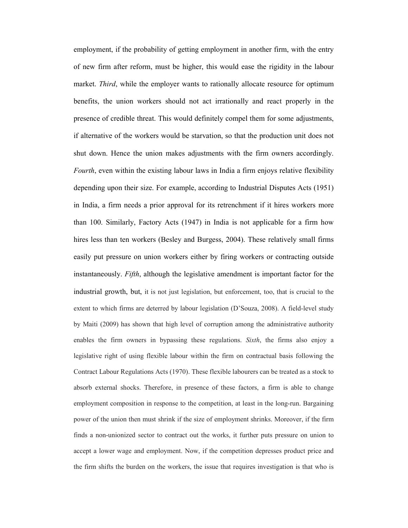employment, if the probability of getting employment in another firm, with the entry of new firm after reform, must be higher, this would ease the rigidity in the labour market. *Third*, while the employer wants to rationally allocate resource for optimum benefits, the union workers should not act irrationally and react properly in the presence of credible threat. This would definitely compel them for some adjustments, if alternative of the workers would be starvation, so that the production unit does not shut down. Hence the union makes adjustments with the firm owners accordingly. *Fourth*, even within the existing labour laws in India a firm enjoys relative flexibility depending upon their size. For example, according to Industrial Disputes Acts (1951) in India, a firm needs a prior approval for its retrenchment if it hires workers more than 100. Similarly, Factory Acts (1947) in India is not applicable for a firm how hires less than ten workers (Besley and Burgess, 2004). These relatively small firms easily put pressure on union workers either by firing workers or contracting outside instantaneously. *Fifth*, although the legislative amendment is important factor for the industrial growth, but, it is not just legislation, but enforcement, too, that is crucial to the extent to which firms are deterred by labour legislation (D'Souza, 2008). A field-level study by Maiti (2009) has shown that high level of corruption among the administrative authority enables the firm owners in bypassing these regulations. *Sixth*, the firms also enjoy a legislative right of using flexible labour within the firm on contractual basis following the Contract Labour Regulations Acts (1970). These flexible labourers can be treated as a stock to absorb external shocks. Therefore, in presence of these factors, a firm is able to change employment composition in response to the competition, at least in the long-run. Bargaining power of the union then must shrink if the size of employment shrinks. Moreover, if the firm finds a non-unionized sector to contract out the works, it further puts pressure on union to accept a lower wage and employment. Now, if the competition depresses product price and the firm shifts the burden on the workers, the issue that requires investigation is that who is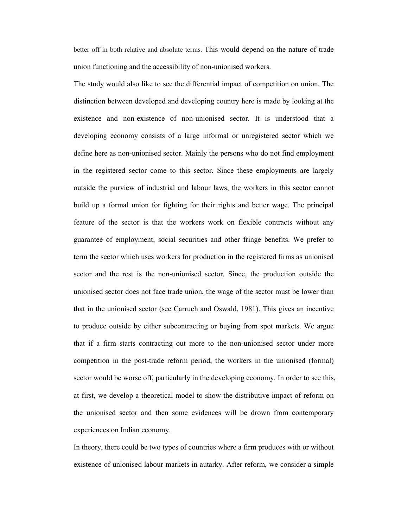better off in both relative and absolute terms. This would depend on the nature of trade union functioning and the accessibility of non-unionised workers.

The study would also like to see the differential impact of competition on union. The distinction between developed and developing country here is made by looking at the existence and non-existence of non-unionised sector. It is understood that a developing economy consists of a large informal or unregistered sector which we define here as non-unionised sector. Mainly the persons who do not find employment in the registered sector come to this sector. Since these employments are largely outside the purview of industrial and labour laws, the workers in this sector cannot build up a formal union for fighting for their rights and better wage. The principal feature of the sector is that the workers work on flexible contracts without any guarantee of employment, social securities and other fringe benefits. We prefer to term the sector which uses workers for production in the registered firms as unionised sector and the rest is the non-unionised sector. Since, the production outside the unionised sector does not face trade union, the wage of the sector must be lower than that in the unionised sector (see Carruch and Oswald, 1981). This gives an incentive to produce outside by either subcontracting or buying from spot markets. We argue that if a firm starts contracting out more to the non-unionised sector under more competition in the post-trade reform period, the workers in the unionised (formal) sector would be worse off, particularly in the developing economy. In order to see this, at first, we develop a theoretical model to show the distributive impact of reform on the unionised sector and then some evidences will be drown from contemporary experiences on Indian economy.

In theory, there could be two types of countries where a firm produces with or without existence of unionised labour markets in autarky. After reform, we consider a simple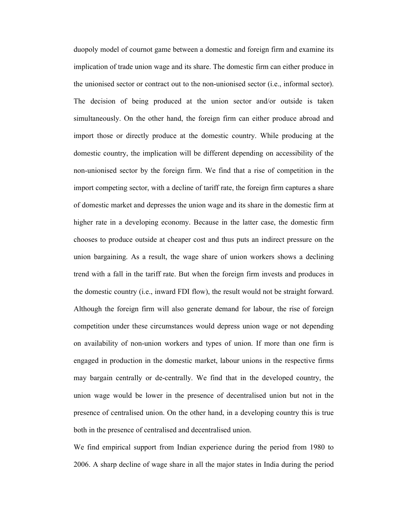duopoly model of cournot game between a domestic and foreign firm and examine its implication of trade union wage and its share. The domestic firm can either produce in the unionised sector or contract out to the non-unionised sector (i.e., informal sector). The decision of being produced at the union sector and/or outside is taken simultaneously. On the other hand, the foreign firm can either produce abroad and import those or directly produce at the domestic country. While producing at the domestic country, the implication will be different depending on accessibility of the non-unionised sector by the foreign firm. We find that a rise of competition in the import competing sector, with a decline of tariff rate, the foreign firm captures a share of domestic market and depresses the union wage and its share in the domestic firm at higher rate in a developing economy. Because in the latter case, the domestic firm chooses to produce outside at cheaper cost and thus puts an indirect pressure on the union bargaining. As a result, the wage share of union workers shows a declining trend with a fall in the tariff rate. But when the foreign firm invests and produces in the domestic country (i.e., inward FDI flow), the result would not be straight forward. Although the foreign firm will also generate demand for labour, the rise of foreign competition under these circumstances would depress union wage or not depending on availability of non-union workers and types of union. If more than one firm is engaged in production in the domestic market, labour unions in the respective firms may bargain centrally or de-centrally. We find that in the developed country, the union wage would be lower in the presence of decentralised union but not in the presence of centralised union. On the other hand, in a developing country this is true both in the presence of centralised and decentralised union.

We find empirical support from Indian experience during the period from 1980 to 2006. A sharp decline of wage share in all the major states in India during the period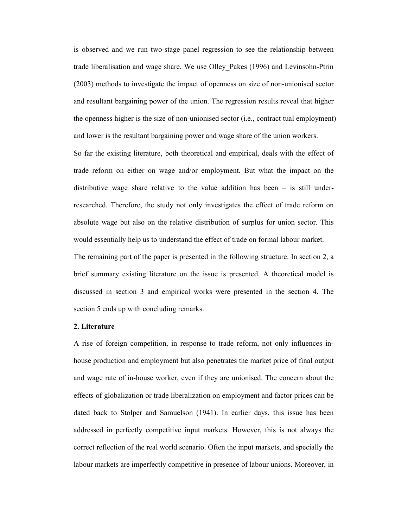is observed and we run two-stage panel regression to see the relationship between trade liberalisation and wage share. We use Olley\_Pakes (1996) and Levinsohn-Ptrin (2003) methods to investigate the impact of openness on size of non-unionised sector and resultant bargaining power of the union. The regression results reveal that higher the openness higher is the size of non-unionised sector (i.e., contract tual employment) and lower is the resultant bargaining power and wage share of the union workers.

So far the existing literature, both theoretical and empirical, deals with the effect of trade reform on either on wage and/or employment. But what the impact on the distributive wage share relative to the value addition has been – is still underresearched. Therefore, the study not only investigates the effect of trade reform on absolute wage but also on the relative distribution of surplus for union sector. This would essentially help us to understand the effect of trade on formal labour market.

The remaining part of the paper is presented in the following structure. In section 2, a brief summary existing literature on the issue is presented. A theoretical model is discussed in section 3 and empirical works were presented in the section 4. The section 5 ends up with concluding remarks.

## **2. Literature**

A rise of foreign competition, in response to trade reform, not only influences inhouse production and employment but also penetrates the market price of final output and wage rate of in-house worker, even if they are unionised. The concern about the effects of globalization or trade liberalization on employment and factor prices can be dated back to Stolper and Samuelson (1941). In earlier days, this issue has been addressed in perfectly competitive input markets. However, this is not always the correct reflection of the real world scenario. Often the input markets, and specially the labour markets are imperfectly competitive in presence of labour unions. Moreover, in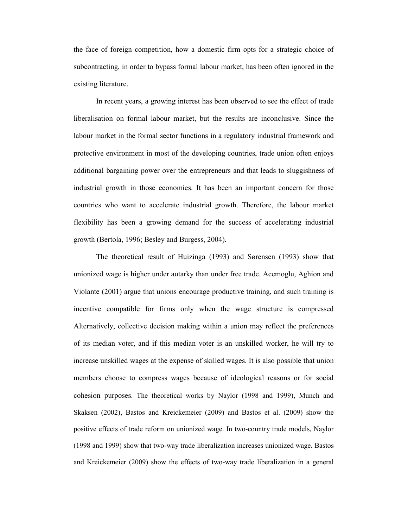the face of foreign competition, how a domestic firm opts for a strategic choice of subcontracting, in order to bypass formal labour market, has been often ignored in the existing literature.

In recent years, a growing interest has been observed to see the effect of trade liberalisation on formal labour market, but the results are inconclusive. Since the labour market in the formal sector functions in a regulatory industrial framework and protective environment in most of the developing countries, trade union often enjoys additional bargaining power over the entrepreneurs and that leads to sluggishness of industrial growth in those economies. It has been an important concern for those countries who want to accelerate industrial growth. Therefore, the labour market flexibility has been a growing demand for the success of accelerating industrial growth (Bertola, 1996; Besley and Burgess, 2004).

The theoretical result of Huizinga (1993) and Sørensen (1993) show that unionized wage is higher under autarky than under free trade. Acemoglu, Aghion and Violante (2001) argue that unions encourage productive training, and such training is incentive compatible for firms only when the wage structure is compressed Alternatively, collective decision making within a union may reflect the preferences of its median voter, and if this median voter is an unskilled worker, he will try to increase unskilled wages at the expense of skilled wages. It is also possible that union members choose to compress wages because of ideological reasons or for social cohesion purposes. The theoretical works by Naylor (1998 and 1999), Munch and Skaksen (2002), Bastos and Kreickemeier (2009) and Bastos et al. (2009) show the positive effects of trade reform on unionized wage. In two-country trade models, Naylor (1998 and 1999) show that two-way trade liberalization increases unionized wage. Bastos and Kreickemeier (2009) show the effects of two-way trade liberalization in a general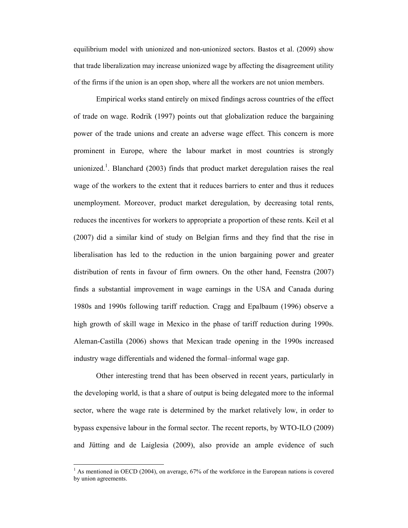equilibrium model with unionized and non-unionized sectors. Bastos et al. (2009) show that trade liberalization may increase unionized wage by affecting the disagreement utility of the firms if the union is an open shop, where all the workers are not union members.

Empirical works stand entirely on mixed findings across countries of the effect of trade on wage. Rodrik (1997) points out that globalization reduce the bargaining power of the trade unions and create an adverse wage effect. This concern is more prominent in Europe, where the labour market in most countries is strongly unionized.<sup>1</sup>. Blanchard (2003) finds that product market deregulation raises the real wage of the workers to the extent that it reduces barriers to enter and thus it reduces unemployment. Moreover, product market deregulation, by decreasing total rents, reduces the incentives for workers to appropriate a proportion of these rents. Keil et al (2007) did a similar kind of study on Belgian firms and they find that the rise in liberalisation has led to the reduction in the union bargaining power and greater distribution of rents in favour of firm owners. On the other hand, Feenstra (2007) finds a substantial improvement in wage earnings in the USA and Canada during 1980s and 1990s following tariff reduction. Cragg and Epalbaum (1996) observe a high growth of skill wage in Mexico in the phase of tariff reduction during 1990s. Aleman-Castilla (2006) shows that Mexican trade opening in the 1990s increased industry wage differentials and widened the formal–informal wage gap.

Other interesting trend that has been observed in recent years, particularly in the developing world, is that a share of output is being delegated more to the informal sector, where the wage rate is determined by the market relatively low, in order to bypass expensive labour in the formal sector. The recent reports, by WTO-ILO (2009) and Jütting and de Laiglesia (2009), also provide an ample evidence of such

-

<sup>1</sup> As mentioned in OECD (2004), on average, 67% of the workforce in the European nations is covered by union agreements.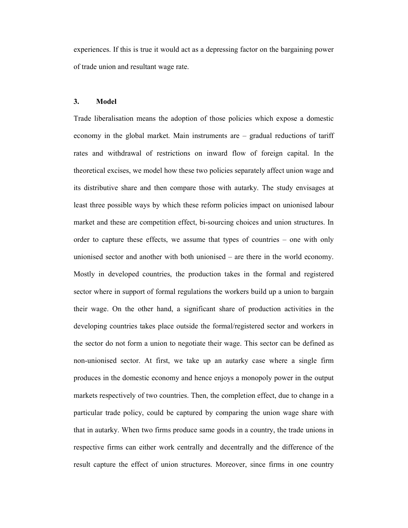experiences. If this is true it would act as a depressing factor on the bargaining power of trade union and resultant wage rate.

#### **3. Model**

Trade liberalisation means the adoption of those policies which expose a domestic economy in the global market. Main instruments are – gradual reductions of tariff rates and withdrawal of restrictions on inward flow of foreign capital. In the theoretical excises, we model how these two policies separately affect union wage and its distributive share and then compare those with autarky. The study envisages at least three possible ways by which these reform policies impact on unionised labour market and these are competition effect, bi-sourcing choices and union structures. In order to capture these effects, we assume that types of countries – one with only unionised sector and another with both unionised – are there in the world economy. Mostly in developed countries, the production takes in the formal and registered sector where in support of formal regulations the workers build up a union to bargain their wage. On the other hand, a significant share of production activities in the developing countries takes place outside the formal/registered sector and workers in the sector do not form a union to negotiate their wage. This sector can be defined as non-unionised sector. At first, we take up an autarky case where a single firm produces in the domestic economy and hence enjoys a monopoly power in the output markets respectively of two countries. Then, the completion effect, due to change in a particular trade policy, could be captured by comparing the union wage share with that in autarky. When two firms produce same goods in a country, the trade unions in respective firms can either work centrally and decentrally and the difference of the result capture the effect of union structures. Moreover, since firms in one country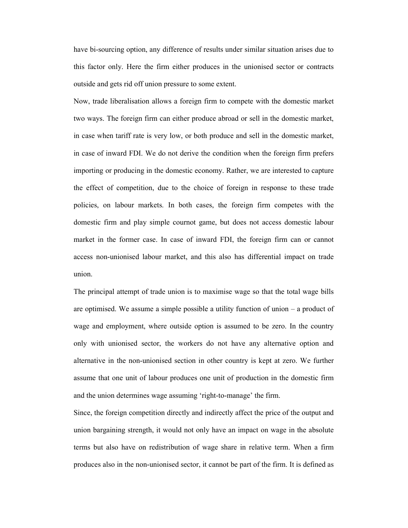have bi-sourcing option, any difference of results under similar situation arises due to this factor only. Here the firm either produces in the unionised sector or contracts outside and gets rid off union pressure to some extent.

Now, trade liberalisation allows a foreign firm to compete with the domestic market two ways. The foreign firm can either produce abroad or sell in the domestic market, in case when tariff rate is very low, or both produce and sell in the domestic market, in case of inward FDI. We do not derive the condition when the foreign firm prefers importing or producing in the domestic economy. Rather, we are interested to capture the effect of competition, due to the choice of foreign in response to these trade policies, on labour markets. In both cases, the foreign firm competes with the domestic firm and play simple cournot game, but does not access domestic labour market in the former case. In case of inward FDI, the foreign firm can or cannot access non-unionised labour market, and this also has differential impact on trade union.

The principal attempt of trade union is to maximise wage so that the total wage bills are optimised. We assume a simple possible a utility function of union – a product of wage and employment, where outside option is assumed to be zero. In the country only with unionised sector, the workers do not have any alternative option and alternative in the non-unionised section in other country is kept at zero. We further assume that one unit of labour produces one unit of production in the domestic firm and the union determines wage assuming 'right-to-manage' the firm.

Since, the foreign competition directly and indirectly affect the price of the output and union bargaining strength, it would not only have an impact on wage in the absolute terms but also have on redistribution of wage share in relative term. When a firm produces also in the non-unionised sector, it cannot be part of the firm. It is defined as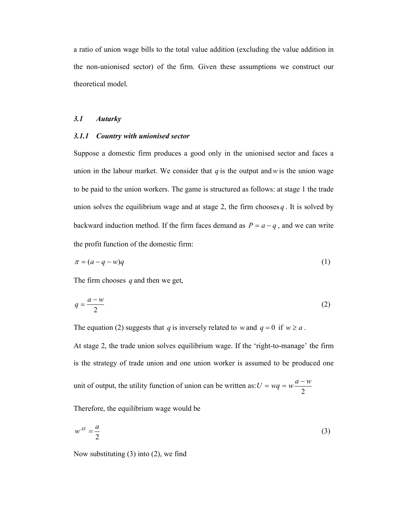a ratio of union wage bills to the total value addition (excluding the value addition in the non-unionised sector) of the firm. Given these assumptions we construct our theoretical model.

## *3.1 Autarky*

### *3.1.1 Country with unionised sector*

Suppose a domestic firm produces a good only in the unionised sector and faces a union in the labour market. We consider that  $q$  is the output and  $w$  is the union wage to be paid to the union workers. The game is structured as follows: at stage 1 the trade union solves the equilibrium wage and at stage 2, the firm chooses  $q$ . It is solved by backward induction method. If the firm faces demand as  $P = a - q$ , and we can write the profit function of the domestic firm:

$$
\pi = (a - q - w)q \tag{1}
$$

The firm chooses *q* and then we get,

$$
q = \frac{a - w}{2} \tag{2}
$$

The equation (2) suggests that *q* is inversely related to *w* and  $q = 0$  if  $w \ge a$ .

At stage 2, the trade union solves equilibrium wage. If the 'right-to-manage' the firm is the strategy of trade union and one union worker is assumed to be produced one

unit of output, the utility function of union can be written as: 2  $U = wq = w \frac{a - w}{q}$ 

Therefore, the equilibrium wage would be

$$
w^{AS} = \frac{a}{2} \tag{3}
$$

Now substituting (3) into (2), we find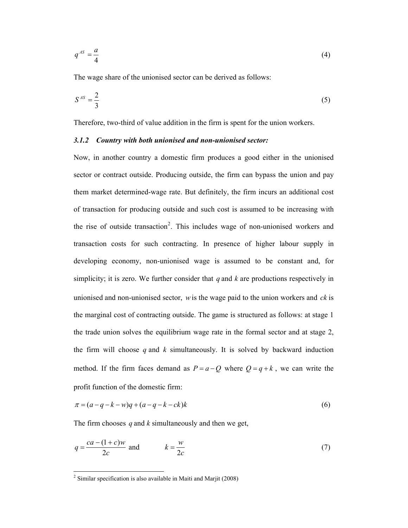$$
q^{AS} = \frac{a}{4} \tag{4}
$$

The wage share of the unionised sector can be derived as follows:

$$
S^{AS} = \frac{2}{3} \tag{5}
$$

Therefore, two-third of value addition in the firm is spent for the union workers.

## *3.1.2 Country with both unionised and non-unionised sector:*

Now, in another country a domestic firm produces a good either in the unionised sector or contract outside. Producing outside, the firm can bypass the union and pay them market determined-wage rate. But definitely, the firm incurs an additional cost of transaction for producing outside and such cost is assumed to be increasing with the rise of outside transaction<sup>2</sup>. This includes wage of non-unionised workers and transaction costs for such contracting. In presence of higher labour supply in developing economy, non-unionised wage is assumed to be constant and, for simplicity; it is zero. We further consider that *q* and *k* are productions respectively in unionised and non-unionised sector, *w*is the wage paid to the union workers and *ck* is the marginal cost of contracting outside. The game is structured as follows: at stage 1 the trade union solves the equilibrium wage rate in the formal sector and at stage 2, the firm will choose  $q$  and  $k$  simultaneously. It is solved by backward induction method. If the firm faces demand as  $P = a - Q$  where  $Q = q + k$ , we can write the profit function of the domestic firm:

$$
\pi = (a - q - k - w)q + (a - q - k - ck)k\tag{6}
$$

The firm chooses *q* and *k* simultaneously and then we get,

$$
q = \frac{ca - (1 + c)w}{2c} \text{ and } k = \frac{w}{2c} \tag{7}
$$

-

 $2$  Similar specification is also available in Maiti and Marjit (2008)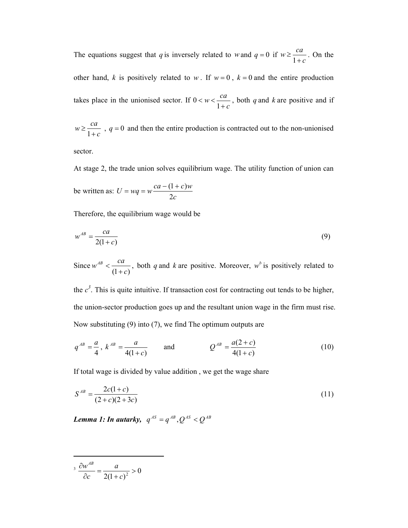The equations suggest that *q* is inversely related to *w* and  $q = 0$  if *c*  $w \geq \frac{ca}{1}$ + ≥ 1 . On the other hand, *k* is positively related to *w*. If  $w = 0$ ,  $k = 0$  and the entire production takes place in the unionised sector. If *c*  $w < \frac{ca}{1}$ +  $< w <$ 1  $0 < w < \frac{ca}{1}$ , both *q* and *k* are positive and if

*c*  $w \geq \frac{ca}{1}$ + ≥ 1 ,  $q = 0$  and then the entire production is contracted out to the non-unionised

sector.

At stage 2, the trade union solves equilibrium wage. The utility function of union can be written as: *c*  $U = wq = w\frac{ca - (1+c)w}{2}$ 2  $= wq = w \frac{ca - (1 + c)}{2}$ 

Therefore, the equilibrium wage would be

$$
w^{AB} = \frac{ca}{2(1+c)}\tag{9}
$$

Since  $(1+c)$  $w^{AB} < \frac{ca}{a}$ +  $\langle \frac{ca}{a} \rangle$ , both *q* and *k* are positive. Moreover, *w*<sup>b</sup> is positively related to

the  $c<sup>3</sup>$ . This is quite intuitive. If transaction cost for contracting out tends to be higher, the union-sector production goes up and the resultant union wage in the firm must rise. Now substituting (9) into (7), we find The optimum outputs are

$$
q^{AB} = \frac{a}{4}
$$
,  $k^{AB} = \frac{a}{4(1+c)}$  and  $Q^{AB} = \frac{a(2+c)}{4(1+c)}$  (10)

If total wage is divided by value addition , we get the wage share

$$
S^{AB} = \frac{2c(1+c)}{(2+c)(2+3c)}
$$
\n(11)

*Lemma 1: In autarky,*  $q^{AS} = q^{AB}, Q^{AS} < Q^{AB}$ 

$$
3 \frac{\partial w^{AB}}{\partial c} = \frac{a}{2(1+c)^2} > 0
$$

-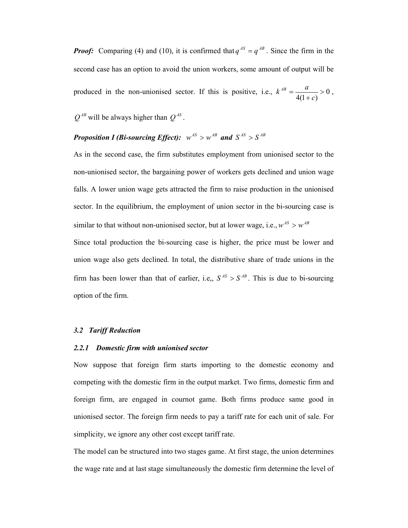*Proof:* Comparing (4) and (10), it is confirmed that  $q^{AS} = q^{AB}$ . Since the firm in the second case has an option to avoid the union workers, some amount of output will be produced in the non-unionised sector. If this is positive, i.e.,  $k^{AB} = \frac{a}{\sqrt{a}} > 0$  $4(1 + c)$ > + = *c*  $k^{AB} = \frac{a}{\sqrt{a^2}} > 0$ ,

 $Q^{AB}$  will be always higher than  $Q^{AS}$ .

# *Proposition I (Bi-sourcing Effect):*  $w^{AS} > w^{AB}$  and  $S^{AS} > S^{AB}$

As in the second case, the firm substitutes employment from unionised sector to the non-unionised sector, the bargaining power of workers gets declined and union wage falls. A lower union wage gets attracted the firm to raise production in the unionised sector. In the equilibrium, the employment of union sector in the bi-sourcing case is similar to that without non-unionised sector, but at lower wage, i.e.,  $w^{AS} > w^{AB}$ 

Since total production the bi-sourcing case is higher, the price must be lower and union wage also gets declined. In total, the distributive share of trade unions in the firm has been lower than that of earlier, i.e.,  $S^{AS} > S^{AB}$ . This is due to bi-sourcing option of the firm.

#### *3.2 Tariff Reduction*

#### *2.2.1 Domestic firm with unionised sector*

Now suppose that foreign firm starts importing to the domestic economy and competing with the domestic firm in the output market. Two firms, domestic firm and foreign firm, are engaged in cournot game. Both firms produce same good in unionised sector. The foreign firm needs to pay a tariff rate for each unit of sale. For simplicity, we ignore any other cost except tariff rate.

The model can be structured into two stages game. At first stage, the union determines the wage rate and at last stage simultaneously the domestic firm determine the level of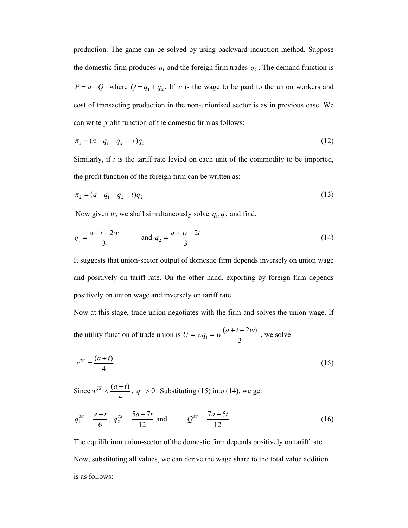production. The game can be solved by using backward induction method. Suppose the domestic firm produces  $q_1$  and the foreign firm trades  $q_2$ . The demand function is  $P = a - Q$  where  $Q = q_1 + q_2$ . If *w* is the wage to be paid to the union workers and cost of transacting production in the non-unionised sector is as in previous case. We can write profit function of the domestic firm as follows:

$$
\pi_1 = (a - q_1 - q_2 - w)q_1 \tag{12}
$$

Similarly, if *t* is the tariff rate levied on each unit of the commodity to be imported, the profit function of the foreign firm can be written as:

$$
\pi_2 = (a - q_1 - q_2 - t)q_2 \tag{13}
$$

Now given *w*, we shall simultaneously solve  $q_1, q_2$  and find.

$$
q_1 = \frac{a+t-2w}{3} \qquad \text{and } q_2 = \frac{a+w-2t}{3} \tag{14}
$$

It suggests that union-sector output of domestic firm depends inversely on union wage and positively on tariff rate. On the other hand, exporting by foreign firm depends positively on union wage and inversely on tariff rate.

Now at this stage, trade union negotiates with the firm and solves the union wage. If the utility function of trade union is 3  $(a + t - 2w)$ 1  $U = wq_1 = w \frac{(a+t-2w)}{2}$ , we solve

$$
w^{TS} = \frac{(a+t)}{4} \tag{15}
$$

Since 4  $w^{rs} < \frac{(a+t)}{4}$ ,  $q_1 > 0$ . Substituting (15) into (14), we get

$$
q_1^{TS} = \frac{a+t}{6}
$$
,  $q_2^{TS} = \frac{5a-7t}{12}$  and  $Q^{TS} = \frac{7a-5t}{12}$  (16)

The equilibrium union-sector of the domestic firm depends positively on tariff rate. Now, substituting all values, we can derive the wage share to the total value addition is as follows: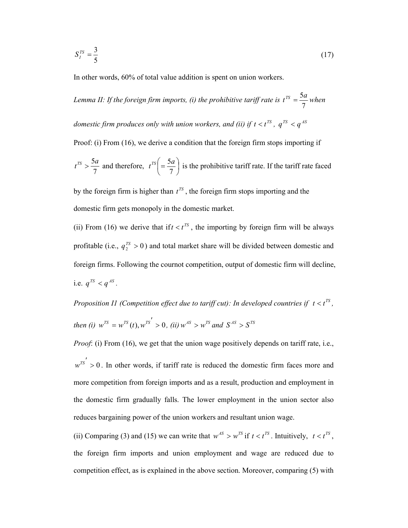$$
S_I^{TS} = \frac{3}{5} \tag{17}
$$

In other words, 60% of total value addition is spent on union workers.

Lemma II: If the foreign firm imports, (i) the prohibitive tariff rate is 7  $t^{TS} = \frac{5a}{7}$  when *domestic firm produces only with union workers, and (ii) if*  $t < t^{\text{TS}}$  *,*  $q^{\text{TS}} < q^{\text{AS}}$ Proof: (i) From (16), we derive a condition that the foreign firm stops importing if 7  $t^{TS} > \frac{5a}{7}$  and therefore,  $t^{TS} = \frac{5a}{7}$ )  $\left(\frac{5a}{7}\right)$  $\setminus$  $\Big($ 7  $t^{\text{TS}}\left(=\frac{5a}{7}\right)$  is the prohibitive tariff rate. If the tariff rate faced

by the foreign firm is higher than  $t^{TS}$ , the foreign firm stops importing and the domestic firm gets monopoly in the domestic market.

(ii) From (16) we derive that if  $t < t^{TS}$ , the importing by foreign firm will be always profitable (i.e.,  $q_2^{rs} > 0$ ) and total market share will be divided between domestic and foreign firms. Following the cournot competition, output of domestic firm will decline, i.e.  $q^{TS} < q^{AS}$ .

*Proposition I1 (Competition effect due to tariff cut): In developed countries if*  $t < t^{TS}$ , *then (i)*  $w^{TS} = w^{TS}(t)$ ,  $w^{TS'} > 0$ , *(ii)*  $w^{AS} > w^{TS}$  and  $S^{AS} > S^{TS}$ 

*Proof*: (i) From (16), we get that the union wage positively depends on tariff rate, i.e.,

 $w^{rs'} > 0$ . In other words, if tariff rate is reduced the domestic firm faces more and more competition from foreign imports and as a result, production and employment in the domestic firm gradually falls. The lower employment in the union sector also reduces bargaining power of the union workers and resultant union wage.

(ii) Comparing (3) and (15) we can write that  $w^{AS} > w^{TS}$  if  $t < t^{TS}$ . Intuitively,  $t < t^{TS}$ , the foreign firm imports and union employment and wage are reduced due to competition effect, as is explained in the above section. Moreover, comparing (5) with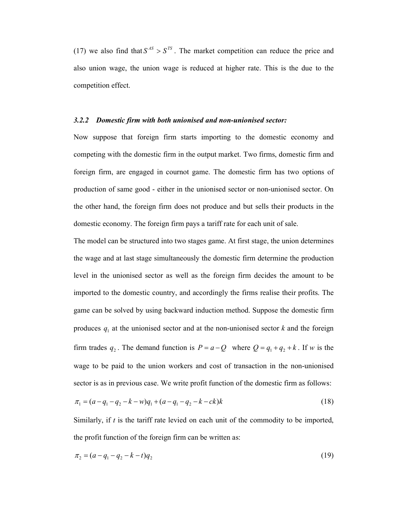(17) we also find that  $S^{AS} > S^{TS}$ . The market competition can reduce the price and also union wage, the union wage is reduced at higher rate. This is the due to the competition effect.

#### *3.2.2 Domestic firm with both unionised and non-unionised sector:*

Now suppose that foreign firm starts importing to the domestic economy and competing with the domestic firm in the output market. Two firms, domestic firm and foreign firm, are engaged in cournot game. The domestic firm has two options of production of same good - either in the unionised sector or non-unionised sector. On the other hand, the foreign firm does not produce and but sells their products in the domestic economy. The foreign firm pays a tariff rate for each unit of sale.

The model can be structured into two stages game. At first stage, the union determines the wage and at last stage simultaneously the domestic firm determine the production level in the unionised sector as well as the foreign firm decides the amount to be imported to the domestic country, and accordingly the firms realise their profits. The game can be solved by using backward induction method. Suppose the domestic firm produces  $q_1$  at the unionised sector and at the non-unionised sector  $k$  and the foreign firm trades  $q_2$ . The demand function is  $P = a - Q$  where  $Q = q_1 + q_2 + k$ . If *w* is the wage to be paid to the union workers and cost of transaction in the non-unionised sector is as in previous case. We write profit function of the domestic firm as follows:

$$
\pi_1 = (a - q_1 - q_2 - k - w)q_1 + (a - q_1 - q_2 - k - ck)k\tag{18}
$$

Similarly, if *t* is the tariff rate levied on each unit of the commodity to be imported, the profit function of the foreign firm can be written as:

$$
\pi_2 = (a - q_1 - q_2 - k - t)q_2 \tag{19}
$$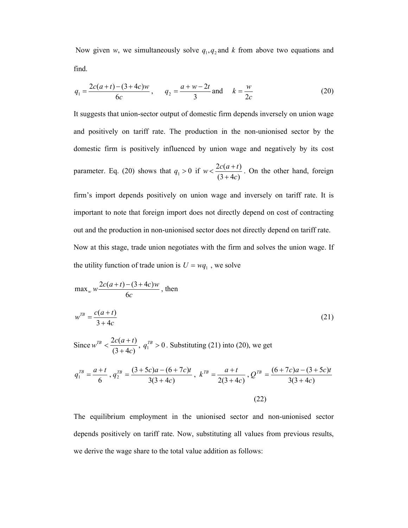Now given *w*, we simultaneously solve  $q_1, q_2$  and *k* from above two equations and find.

$$
q_1 = \frac{2c(a+t) - (3+4c)w}{6c}, \qquad q_2 = \frac{a+w-2t}{3} \text{ and } \qquad k = \frac{w}{2c}
$$
 (20)

It suggests that union-sector output of domestic firm depends inversely on union wage and positively on tariff rate. The production in the non-unionised sector by the domestic firm is positively influenced by union wage and negatively by its cost parameter. Eq. (20) shows that  $q_1 > 0$  if  $w < \frac{2c(u + 1)}{(3 + 4c)}$  $2c(a+t)$ *c*  $w < \frac{2c(a+t)}{a^2}$ +  $\langle \frac{2c(a+t)}{c(a+t)} \rangle$ . On the other hand, foreign

firm's import depends positively on union wage and inversely on tariff rate. It is important to note that foreign import does not directly depend on cost of contracting out and the production in non-unionised sector does not directly depend on tariff rate. Now at this stage, trade union negotiates with the firm and solves the union wage. If the utility function of trade union is  $U = wq_1$ , we solve

$$
\max_{w} w \frac{2c(a+t) - (3+4c)w}{6c}, \text{ then}
$$
  

$$
w^{TB} = \frac{c(a+t)}{3+4c}
$$
 (21)

Since  $(3 + 4c)$  $2c(a+t)$ *c*  $w^{TB} < \frac{2c(a+t)}{a^2}$ +  $\langle \frac{2c(a+t)}{(2+a)} , q_1^{7B} > 0$ . Substituting (21) into (20), we get

$$
q_1^{TB} = \frac{a+t}{6}, q_2^{TB} = \frac{(3+5c)a - (6+7c)t}{3(3+4c)}, k^{TB} = \frac{a+t}{2(3+4c)}, Q^{TB} = \frac{(6+7c)a - (3+5c)t}{3(3+4c)}
$$
\n(22)

The equilibrium employment in the unionised sector and non-unionised sector depends positively on tariff rate. Now, substituting all values from previous results, we derive the wage share to the total value addition as follows: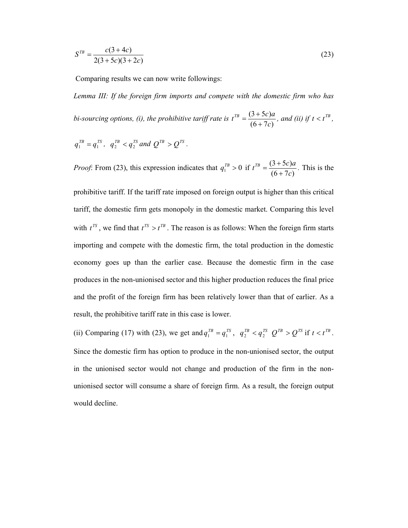$$
S^{TB} = \frac{c(3+4c)}{2(3+5c)(3+2c)}
$$
(23)

Comparing results we can now write followings:

*Lemma III: If the foreign firm imports and compete with the domestic firm who has bi-sourcing options, (i), the prohibitive tariff rate is*   $(6+7c)$  $(3+5c)$ *c*  $t^{TB} = \frac{(3+5c)a}{(6-7)}$ +  $=\frac{(3+5c)a}{(6-7c)}$ , and (ii) if  $t < t^{TB}$ ,

$$
q_1^{TB} = q_1^{TS}, q_2^{TB} < q_2^{TS}
$$
 and  $Q^{TB} > Q^{TS}$ .

*Proof*: From (23), this expression indicates that  $q_1^{TB} > 0$  if  $(6+7c)$  $(3+5c)$ *c*  $t^{TB} = \frac{(3+5c)a}{(6-7)}$ +  $=\frac{(3+5c)a}{(6-7)}$ . This is the

prohibitive tariff. If the tariff rate imposed on foreign output is higher than this critical tariff, the domestic firm gets monopoly in the domestic market. Comparing this level with  $t^{TS}$ , we find that  $t^{TS} > t^{TB}$ . The reason is as follows: When the foreign firm starts importing and compete with the domestic firm, the total production in the domestic economy goes up than the earlier case. Because the domestic firm in the case produces in the non-unionised sector and this higher production reduces the final price and the profit of the foreign firm has been relatively lower than that of earlier. As a result, the prohibitive tariff rate in this case is lower.

(ii) Comparing (17) with (23), we get and  $q_1^{TB} = q_1^{TS}$ ,  $q_2^{TB} < q_2^{TS}$   $Q^{TB} > Q^{TS}$  if  $t < t^{TB}$ . Since the domestic firm has option to produce in the non-unionised sector, the output in the unionised sector would not change and production of the firm in the nonunionised sector will consume a share of foreign firm. As a result, the foreign output would decline.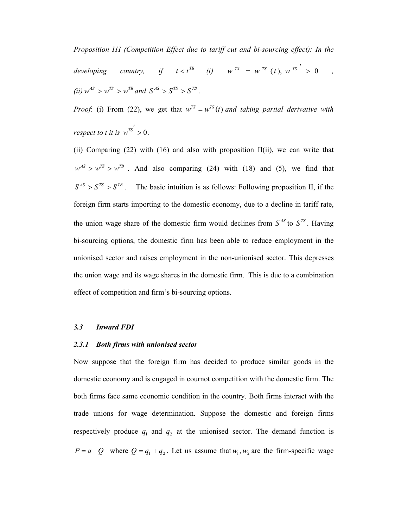*Proposition I1I (Competition Effect due to tariff cut and bi-sourcing effect): In the developing country, if*  $t < t^{TB}$  *(i)*  $w^{TS} = w^{TS} (t), w^{TS} > 0$ ,  $(ii)$   $w^{AS} > w^{TS} > w^{TB}$  and  $S^{AS} > S^{TS} > S^{TB}$ .

*Proof*: (i) From (22), we get that  $w^{TS} = w^{TS}(t)$  and taking partial derivative with *respect to t it is*  $w^{TS'} > 0$ .

(ii) Comparing (22) with (16) and also with proposition II(ii), we can write that  $w^{AS} > w^{TS} > w^{TB}$ . And also comparing (24) with (18) and (5), we find that  $S^{AS} > S^{TS} > S^{TB}$ . The basic intuition is as follows: Following proposition II, if the foreign firm starts importing to the domestic economy, due to a decline in tariff rate, the union wage share of the domestic firm would declines from  $S^{AS}$  to  $S^{TS}$ . Having bi-sourcing options, the domestic firm has been able to reduce employment in the unionised sector and raises employment in the non-unionised sector. This depresses the union wage and its wage shares in the domestic firm. This is due to a combination effect of competition and firm's bi-sourcing options.

#### *3.3 Inward FDI*

## *2.3.1 Both firms with unionised sector*

Now suppose that the foreign firm has decided to produce similar goods in the domestic economy and is engaged in cournot competition with the domestic firm. The both firms face same economic condition in the country. Both firms interact with the trade unions for wage determination. Suppose the domestic and foreign firms respectively produce  $q_1$  and  $q_2$  at the unionised sector. The demand function is  $P = a - Q$  where  $Q = q_1 + q_2$ . Let us assume that  $w_1, w_2$  are the firm-specific wage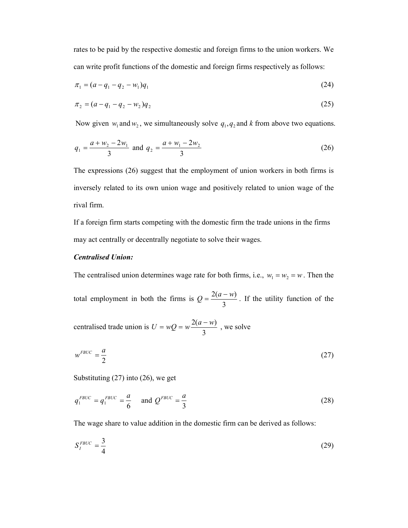rates to be paid by the respective domestic and foreign firms to the union workers. We can write profit functions of the domestic and foreign firms respectively as follows:

$$
\pi_1 = (a - q_1 - q_2 - w_1)q_1\tag{24}
$$

$$
\pi_2 = (a - q_1 - q_2 - w_2)q_2 \tag{25}
$$

Now given  $w_1$  and  $w_2$ , we simultaneously solve  $q_1, q_2$  and  $k$  from above two equations.

$$
q_1 = \frac{a + w_2 - 2w_1}{3} \text{ and } q_2 = \frac{a + w_1 - 2w_2}{3}
$$
 (26)

The expressions (26) suggest that the employment of union workers in both firms is inversely related to its own union wage and positively related to union wage of the rival firm.

If a foreign firm starts competing with the domestic firm the trade unions in the firms may act centrally or decentrally negotiate to solve their wages.

## *Centralised Union:*

The centralised union determines wage rate for both firms, i.e.,  $w_1 = w_2 = w$ . Then the

total employment in both the firms is 3  $Q = \frac{2(a - w)}{2}$ . If the utility function of the

centralised trade union is 3  $U = wQ = w\frac{2(a-w)}{2}$ , we solve

$$
w^{FBUC} = \frac{a}{2} \tag{27}
$$

Substituting (27) into (26), we get

$$
q_1^{FBUC} = q_1^{FBUC} = \frac{a}{6} \quad \text{and } Q^{FBUC} = \frac{a}{3}
$$
 (28)

The wage share to value addition in the domestic firm can be derived as follows:

$$
S_I^{FBUC} = \frac{3}{4} \tag{29}
$$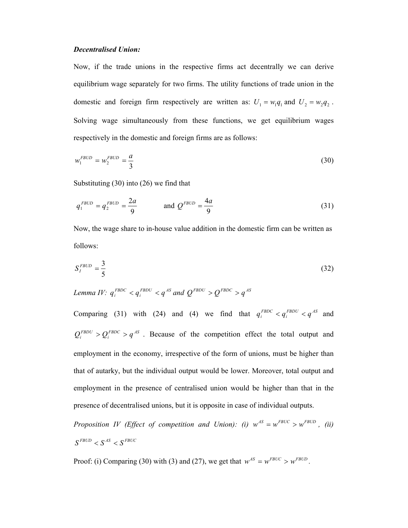#### *Decentralised Union:*

Now, if the trade unions in the respective firms act decentrally we can derive equilibrium wage separately for two firms. The utility functions of trade union in the domestic and foreign firm respectively are written as:  $U_1 = w_1 q_1$  and  $U_2 = w_2 q_2$ . Solving wage simultaneously from these functions, we get equilibrium wages respectively in the domestic and foreign firms are as follows:

$$
w_1^{FBUD} = w_2^{FBUD} = \frac{a}{3}
$$
 (30)

Substituting (30) into (26) we find that

$$
q_1^{FBUD} = q_2^{FBUD} = \frac{2a}{9} \qquad \text{and } Q^{FBUD} = \frac{4a}{9} \qquad (31)
$$

Now, the wage share to in-house value addition in the domestic firm can be written as follows:

$$
S_I^{FBUD} = \frac{3}{5} \tag{32}
$$

*Lemma IV*:  $q_i^{FBDC} < q_i^{FBDU} < q^{AS}$  and  $Q^{FBDU} > Q^{FBDC} > q^{AS}$ 

Comparing (31) with (24) and (4) we find that  $q_i^{FBDC} < q_i^{FBDU} < q^{AS}$  and  $Q_i^{FBDU} > Q_i^{FBDC} > q^{AS}$ . Because of the competition effect the total output and employment in the economy, irrespective of the form of unions, must be higher than that of autarky, but the individual output would be lower. Moreover, total output and employment in the presence of centralised union would be higher than that in the presence of decentralised unions, but it is opposite in case of individual outputs.

*Proposition IV (Effect of competition and Union): (i)*  $w^{AS} = w^{FBUC} > w^{FBUD}$ , (ii)  $S^{FBUD} < S^{AS} < S^{FBUC}$ 

Proof: (i) Comparing (30) with (3) and (27), we get that  $w^{AS} = w^{FBUC} > w^{FBUD}$ .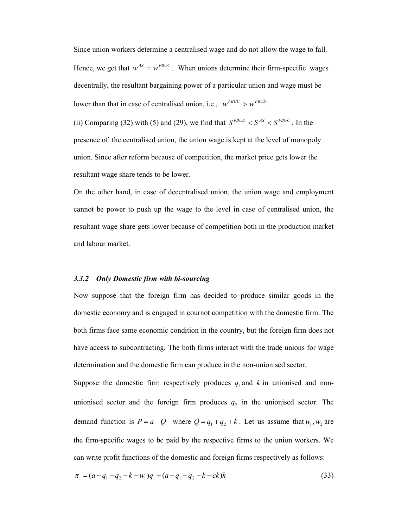Since union workers determine a centralised wage and do not allow the wage to fall. Hence, we get that  $w^{AS} = w^{FBUC}$ . When unions determine their firm-specific wages decentrally, the resultant bargaining power of a particular union and wage must be lower than that in case of centralised union, i.e.,  $w^{FBUC} > w^{FBUD}$ .

(ii) Comparing (32) with (5) and (29), we find that  $S^{FBUD} < S^{AS} < S^{FBUC}$ . In the presence of the centralised union, the union wage is kept at the level of monopoly union. Since after reform because of competition, the market price gets lower the resultant wage share tends to be lower.

On the other hand, in case of decentralised union, the union wage and employment cannot be power to push up the wage to the level in case of centralised union, the resultant wage share gets lower because of competition both in the production market and labour market.

## *3.3.2 Only Domestic firm with bi-sourcing*

Now suppose that the foreign firm has decided to produce similar goods in the domestic economy and is engaged in cournot competition with the domestic firm. The both firms face same economic condition in the country, but the foreign firm does not have access to subcontracting. The both firms interact with the trade unions for wage determination and the domestic firm can produce in the non-unionised sector.

Suppose the domestic firm respectively produces  $q_1$  and  $k$  in unionised and nonunionised sector and the foreign firm produces  $q_2$  in the unionised sector. The demand function is  $P = a - Q$  where  $Q = q_1 + q_2 + k$ . Let us assume that  $w_1, w_2$  are the firm-specific wages to be paid by the respective firms to the union workers. We can write profit functions of the domestic and foreign firms respectively as follows:

$$
\pi_1 = (a - q_1 - q_2 - k - w_1)q_1 + (a - q_1 - q_2 - k - ck)k\tag{33}
$$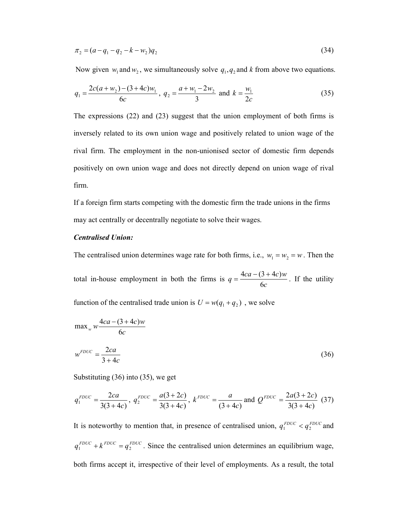$$
\pi_2 = (a - q_1 - q_2 - k - w_2)q_2 \tag{34}
$$

Now given  $w_1$  and  $w_2$ , we simultaneously solve  $q_1, q_2$  and  $k$  from above two equations.

$$
q_1 = \frac{2c(a + w_2) - (3 + 4c)w_1}{6c}, q_2 = \frac{a + w_1 - 2w_2}{3} \text{ and } k = \frac{w_1}{2c}
$$
 (35)

The expressions (22) and (23) suggest that the union employment of both firms is inversely related to its own union wage and positively related to union wage of the rival firm. The employment in the non-unionised sector of domestic firm depends positively on own union wage and does not directly depend on union wage of rival firm.

If a foreign firm starts competing with the domestic firm the trade unions in the firms may act centrally or decentrally negotiate to solve their wages.

#### *Centralised Union:*

The centralised union determines wage rate for both firms, i.e.,  $w_1 = w_2 = w$ . Then the

total in-house employment in both the firms is *c*  $q = \frac{4ca - (3 + 4c)w}{c}$ 6  $=\frac{4ca-(3+4c)w}{6}$ . If the utility

function of the centralised trade union is  $U = w(q_1 + q_2)$ , we solve

$$
\max_{w} w \frac{4ca - (3 + 4c)w}{6c}
$$

$$
w^{FDUC} = \frac{2ca}{3 + 4c} \tag{36}
$$

Substituting (36) into (35), we get

$$
q_1^{FDUC} = \frac{2ca}{3(3+4c)}, \ q_2^{FDUC} = \frac{a(3+2c)}{3(3+4c)}, \ k^{FDUC} = \frac{a}{(3+4c)} \text{ and } Q^{FDUC} = \frac{2a(3+2c)}{3(3+4c)} \tag{37}
$$

It is noteworthy to mention that, in presence of centralised union,  $q_1^{FDUC} < q_2^{FDUC}$  and  $q_1^{FDUC} + k^{FDUC} = q_2^{FDUC}$ . Since the centralised union determines an equilibrium wage, both firms accept it, irrespective of their level of employments. As a result, the total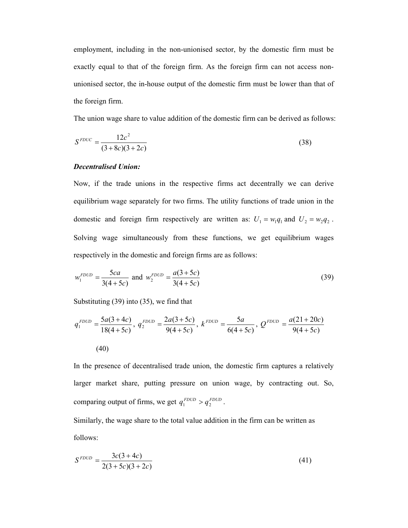employment, including in the non-unionised sector, by the domestic firm must be exactly equal to that of the foreign firm. As the foreign firm can not access nonunionised sector, the in-house output of the domestic firm must be lower than that of the foreign firm.

The union wage share to value addition of the domestic firm can be derived as follows:

$$
S^{FDUC} = \frac{12c^2}{(3+8c)(3+2c)}
$$
(38)

## *Decentralised Union:*

Now, if the trade unions in the respective firms act decentrally we can derive equilibrium wage separately for two firms. The utility functions of trade union in the domestic and foreign firm respectively are written as:  $U_1 = w_1 q_1$  and  $U_2 = w_2 q_2$ . Solving wage simultaneously from these functions, we get equilibrium wages respectively in the domestic and foreign firms are as follows:

$$
w_1^{FDUD} = \frac{5ca}{3(4+5c)} \text{ and } w_2^{FDUD} = \frac{a(3+5c)}{3(4+5c)} \tag{39}
$$

Substituting (39) into (35), we find that

$$
q_1^{FDUD} = \frac{5a(3+4c)}{18(4+5c)}, q_2^{FDUD} = \frac{2a(3+5c)}{9(4+5c)}, k^{FDUD} = \frac{5a}{6(4+5c)}, Q^{FDUD} = \frac{a(21+20c)}{9(4+5c)}
$$
\n
$$
(40)
$$

In the presence of decentralised trade union, the domestic firm captures a relatively larger market share, putting pressure on union wage, by contracting out. So, comparing output of firms, we get  $q_1^{FDUD} > q_2^{FDUD}$ .

Similarly, the wage share to the total value addition in the firm can be written as follows:

$$
S^{FDUD} = \frac{3c(3+4c)}{2(3+5c)(3+2c)}\tag{41}
$$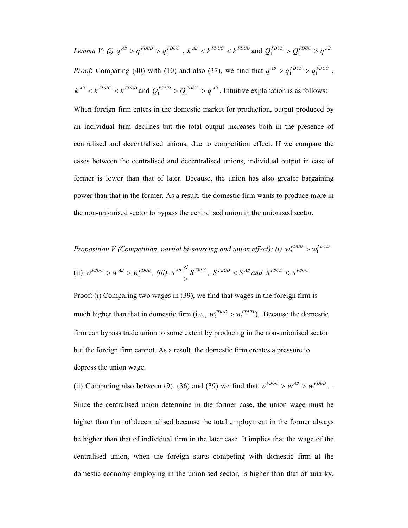Lemma V: (i)  $q^{AB} > q_1^{FDUD} > q_1^{FDUC}$ ,  $k^{AB} < k^{FDUC} < k^{FDUD}$  and  $Q_1^{FDUD} > Q_1^{FDUC} > q^{AB}$ *Proof*: Comparing (40) with (10) and also (37), we find that  $q^{AB} > q_1^{FDUD} > q_1^{FDUC}$ ,  $k^{AB} < k^{FDUC} < k^{FDUD}$  and  $Q_1^{FDUD} > Q_1^{FDUC} > q^{AB}$ . Intuitive explanation is as follows:

When foreign firm enters in the domestic market for production, output produced by an individual firm declines but the total output increases both in the presence of centralised and decentralised unions, due to competition effect. If we compare the cases between the centralised and decentralised unions, individual output in case of former is lower than that of later. Because, the union has also greater bargaining power than that in the former. As a result, the domestic firm wants to produce more in the non-unionised sector to bypass the centralised union in the unionised sector.

*Proposition V (Competition, partial bi-sourcing and union effect): (i)*  $w_2^{FDUD} > w_1^{FDUD}$ (ii)  $w^{FBUC} > w^{AB} > w_1^{FDUD}$ , *(iii)*  $S^{AB} \stackrel{\simeq}{\underset{\sim}{\cdot}} S^{FBUC}$ >  $\leq$   $S^{FBUC}$ ,  $S^{FBUD}$  <  $S^{AB}$  and  $S^{FBUD}$  <  $S^{FBUC}$ 

Proof: (i) Comparing two wages in (39), we find that wages in the foreign firm is much higher than that in domestic firm (i.e.,  $w_2^{FDUD} > w_1^{FDUD}$ ). Because the domestic firm can bypass trade union to some extent by producing in the non-unionised sector but the foreign firm cannot. As a result, the domestic firm creates a pressure to depress the union wage.

(ii) Comparing also between (9), (36) and (39) we find that  $w^{FBUC} > w^{AB} > w_1^{FDUD}$ . Since the centralised union determine in the former case, the union wage must be higher than that of decentralised because the total employment in the former always be higher than that of individual firm in the later case. It implies that the wage of the centralised union, when the foreign starts competing with domestic firm at the domestic economy employing in the unionised sector, is higher than that of autarky.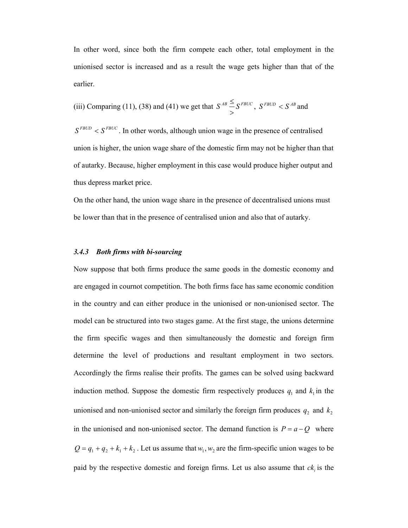In other word, since both the firm compete each other, total employment in the unionised sector is increased and as a result the wage gets higher than that of the earlier.

(iii) Comparing (11), (38) and (41) we get that 
$$
S^{AB} \leq S^{FBUC}
$$
,  $S^{FBUD} < S^{AB}$  and

 $S^{FBUD} < S^{FBUC}$ . In other words, although union wage in the presence of centralised union is higher, the union wage share of the domestic firm may not be higher than that of autarky. Because, higher employment in this case would produce higher output and thus depress market price.

On the other hand, the union wage share in the presence of decentralised unions must be lower than that in the presence of centralised union and also that of autarky.

#### *3.4.3 Both firms with bi-sourcing*

Now suppose that both firms produce the same goods in the domestic economy and are engaged in cournot competition. The both firms face has same economic condition in the country and can either produce in the unionised or non-unionised sector. The model can be structured into two stages game. At the first stage, the unions determine the firm specific wages and then simultaneously the domestic and foreign firm determine the level of productions and resultant employment in two sectors. Accordingly the firms realise their profits. The games can be solved using backward induction method. Suppose the domestic firm respectively produces  $q_1$  and  $k_1$  in the unionised and non-unionised sector and similarly the foreign firm produces  $q_2$  and  $k_2$ in the unionised and non-unionised sector. The demand function is  $P = a - Q$  where  $Q = q_1 + q_2 + k_1 + k_2$ . Let us assume that  $w_1, w_2$  are the firm-specific union wages to be paid by the respective domestic and foreign firms. Let us also assume that  $ck_i$  is the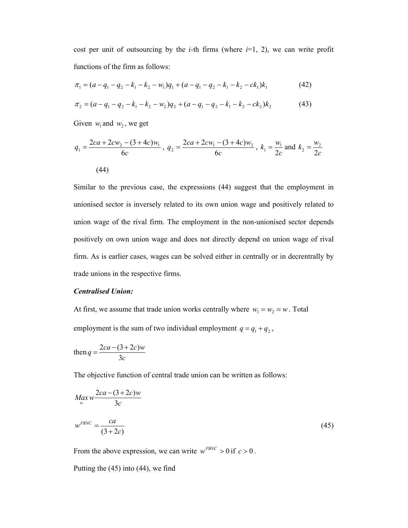cost per unit of outsourcing by the *i*-th firms (where  $i=1, 2$ ), we can write profit functions of the firm as follows:

$$
\pi_1 = (a - q_1 - q_2 - k_1 - k_2 - w_1)q_1 + (a - q_1 - q_2 - k_1 - k_2 - c k_1)k_1
$$
\n(42)

$$
\pi_2 = (a - q_1 - q_2 - k_1 - k_2 - w_2)q_2 + (a - q_1 - q_2 - k_1 - k_2 - ck_2)k_2
$$
\n(43)

Given  $w_1$  and  $w_2$ , we get

$$
q_1 = \frac{2ca + 2cw_2 - (3 + 4c)w_1}{6c}, \ q_2 = \frac{2ca + 2cw_1 - (3 + 4c)w_2}{6c}, \ k_1 = \frac{w_1}{2c} \text{ and } k_2 = \frac{w_2}{2c}
$$
\n
$$
(44)
$$

Similar to the previous case, the expressions (44) suggest that the employment in unionised sector is inversely related to its own union wage and positively related to union wage of the rival firm. The employment in the non-unionised sector depends positively on own union wage and does not directly depend on union wage of rival firm. As is earlier cases, wages can be solved either in centrally or in decrentrally by trade unions in the respective firms.

#### *Centralised Union:*

At first, we assume that trade union works centrally where  $w_1 = w_2 = w$ . Total employment is the sum of two individual employment  $q = q_1 + q_2$ ,

then 
$$
q = \frac{2ca - (3 + 2c)w}{3c}
$$

The objective function of central trade union can be written as follows:

$$
Max_w \frac{2ca - (3 + 2c)w}{3c}
$$
  

$$
w^{FBNC} = \frac{ca}{(3 + 2c)}
$$
 (45)

From the above expression, we can write  $w^{FBNC} > 0$  if  $c > 0$ .

Putting the (45) into (44), we find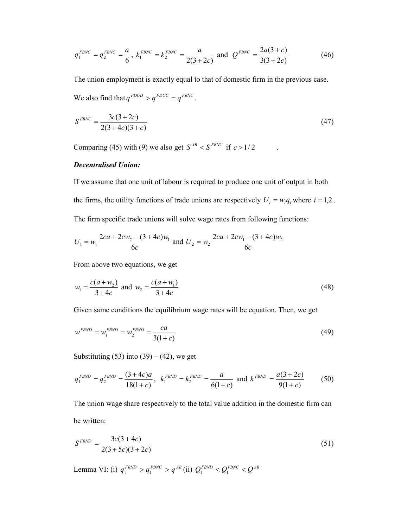$$
q_1^{FBNC} = q_2^{FBNC} = \frac{a}{6}, \ k_1^{FBNC} = k_2^{FBNC} = \frac{a}{2(3+2c)} \text{ and } Q^{FBNC} = \frac{2a(3+c)}{3(3+2c)} \tag{46}
$$

The union employment is exactly equal to that of domestic firm in the previous case. We also find that  $q^{FDUD} > q^{FDUC} = q^{FBNC}$ .

$$
S^{EBNC} = \frac{3c(3+2c)}{2(3+4c)(3+c)}
$$
(47)

Comparing (45) with (9) we also get  $S^{AB} < S^{FBNC}$  if  $c > 1/2$ 

## *Decentralised Union:*

If we assume that one unit of labour is required to produce one unit of output in both the firms, the utility functions of trade unions are respectively  $U_i = w_i q_i$  where  $i = 1,2$ . The firm specific trade unions will solve wage rates from following functions:

$$
U_1 = w_1 \frac{2ca + 2cw_2 - (3 + 4c)w_1}{6c}
$$
 and  $U_2 = w_2 \frac{2ca + 2cw_1 - (3 + 4c)w_2}{6c}$ 

From above two equations, we get

$$
w_1 = \frac{c(a + w_2)}{3 + 4c} \text{ and } w_2 = \frac{c(a + w_1)}{3 + 4c}
$$
 (48)

Given same conditions the equilibrium wage rates will be equation. Then, we get

$$
w^{FBND} = w_1^{FBND} = w_2^{FBND} = \frac{ca}{3(1+c)}
$$
\n(49)

Substituting  $(53)$  into  $(39) - (42)$ , we get

$$
q_1^{FBND} = q_2^{FBND} = \frac{(3+4c)a}{18(1+c)}, \ \ k_1^{FBND} = k_2^{FBND} = \frac{a}{6(1+c)} \text{ and } k^{FBND} = \frac{a(3+2c)}{9(1+c)} \tag{50}
$$

The union wage share respectively to the total value addition in the domestic firm can be written:

$$
S^{FBND} = \frac{3c(3+4c)}{2(3+5c)(3+2c)}\tag{51}
$$

Lemma VI: (i)  $q_1^{FBND} > q_1^{FBNC} > q^{AB}$  (ii)  $Q_1^{FBND} < Q_1^{FBNC} < Q^{AB}$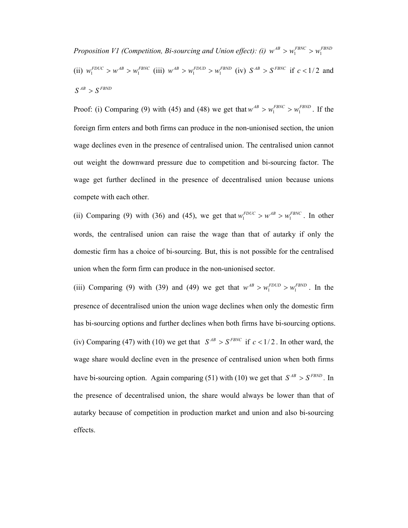*Proposition V1 (Competition, Bi-sourcing and Union effect): (i)*  $w^{AB} > w_1^{FBNC} > w_1^{FBND}$ (ii)  $w_1^{FDUC} > w^{AB} > w_1^{FBNC}$  (iii)  $w^{AB} > w_1^{FDUD} > w_1^{FBND}$  (iv)  $S^{AB} > S^{FBNC}$  if  $c < 1/2$  and  $S^{AB} > S^{FBND}$ 

Proof: (i) Comparing (9) with (45) and (48) we get that  $w^{AB} > w_1^{FBNC} > w_1^{FBND}$ . If the foreign firm enters and both firms can produce in the non-unionised section, the union wage declines even in the presence of centralised union. The centralised union cannot out weight the downward pressure due to competition and bi-sourcing factor. The wage get further declined in the presence of decentralised union because unions compete with each other.

(ii) Comparing (9) with (36) and (45), we get that  $w_1^{FDUC} > w^{AB} > w_1^{FBNC}$ . In other words, the centralised union can raise the wage than that of autarky if only the domestic firm has a choice of bi-sourcing. But, this is not possible for the centralised union when the form firm can produce in the non-unionised sector.

(iii) Comparing (9) with (39) and (49) we get that  $w^{AB} > w_1^{FDUD} > w_1^{FBND}$ . In the presence of decentralised union the union wage declines when only the domestic firm has bi-sourcing options and further declines when both firms have bi-sourcing options. (iv) Comparing (47) with (10) we get that  $S^{AB} > S^{FBNC}$  if  $c < 1/2$ . In other ward, the wage share would decline even in the presence of centralised union when both firms have bi-sourcing option. Again comparing (51) with (10) we get that  $S^{AB} > S^{FBND}$ . In the presence of decentralised union, the share would always be lower than that of autarky because of competition in production market and union and also bi-sourcing effects.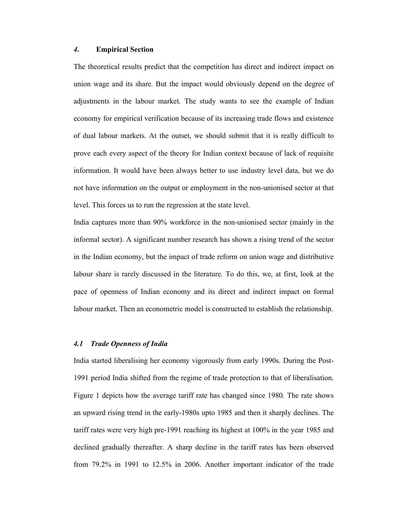#### *4***. Empirical Section**

The theoretical results predict that the competition has direct and indirect impact on union wage and its share. But the impact would obviously depend on the degree of adjustments in the labour market. The study wants to see the example of Indian economy for empirical verification because of its increasing trade flows and existence of dual labour markets. At the outset, we should submit that it is really difficult to prove each every aspect of the theory for Indian context because of lack of requisite information. It would have been always better to use industry level data, but we do not have information on the output or employment in the non-unionised sector at that level. This forces us to run the regression at the state level.

India captures more than 90% workforce in the non-unionised sector (mainly in the informal sector). A significant number research has shown a rising trend of the sector in the Indian economy, but the impact of trade reform on union wage and distributive labour share is rarely discussed in the literature. To do this, we, at first, look at the pace of openness of Indian economy and its direct and indirect impact on formal labour market. Then an econometric model is constructed to establish the relationship.

#### *4.1 Trade Openness of India*

India started liberalising her economy vigorously from early 1990s. During the Post-1991 period India shifted from the regime of trade protection to that of liberalisation. Figure 1 depicts how the average tariff rate has changed since 1980*.* The rate shows an upward rising trend in the early-1980s upto 1985 and then it sharply declines. The tariff rates were very high pre-1991 reaching its highest at 100% in the year 1985 and declined gradually thereafter. A sharp decline in the tariff rates has been observed from 79.2% in 1991 to 12.5% in 2006. Another important indicator of the trade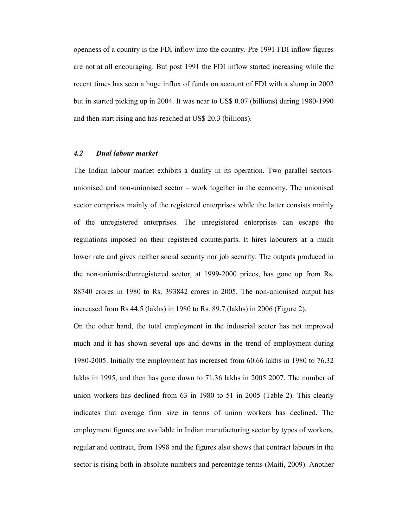openness of a country is the FDI inflow into the country. Pre 1991 FDI inflow figures are not at all encouraging. But post 1991 the FDI inflow started increasing while the recent times has seen a huge influx of funds on account of FDI with a slump in 2002 but in started picking up in 2004. It was near to US\$ 0.07 (billions) during 1980-1990 and then start rising and has reached at US\$ 20.3 (billions).

#### *4.2 Dual labour market*

The Indian labour market exhibits a duality in its operation. Two parallel sectorsunionised and non-unionised sector – work together in the economy. The unionised sector comprises mainly of the registered enterprises while the latter consists mainly of the unregistered enterprises. The unregistered enterprises can escape the regulations imposed on their registered counterparts. It hires labourers at a much lower rate and gives neither social security nor job security. The outputs produced in the non-unionised/unregistered sector, at 1999-2000 prices, has gone up from Rs. 88740 crores in 1980 to Rs. 393842 crores in 2005. The non-unionised output has increased from Rs 44.5 (lakhs) in 1980 to Rs. 89.7 (lakhs) in 2006 (Figure 2).

On the other hand, the total employment in the industrial sector has not improved much and it has shown several ups and downs in the trend of employment during 1980-2005. Initially the employment has increased from 60.66 lakhs in 1980 to 76.32 lakhs in 1995, and then has gone down to 71.36 lakhs in 2005 2007. The number of union workers has declined from 63 in 1980 to 51 in 2005 (Table 2). This clearly indicates that average firm size in terms of union workers has declined. The employment figures are available in Indian manufacturing sector by types of workers, regular and contract, from 1998 and the figures also shows that contract labours in the sector is rising both in absolute numbers and percentage terms (Maiti, 2009). Another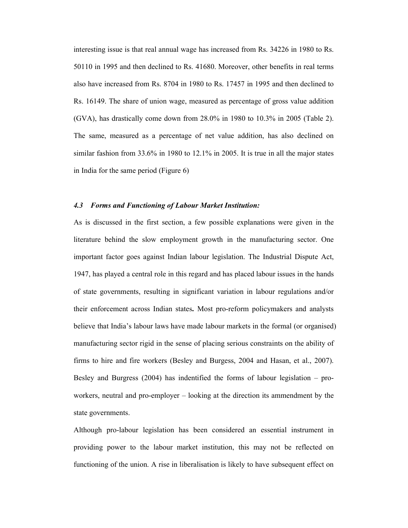interesting issue is that real annual wage has increased from Rs. 34226 in 1980 to Rs. 50110 in 1995 and then declined to Rs. 41680. Moreover, other benefits in real terms also have increased from Rs. 8704 in 1980 to Rs. 17457 in 1995 and then declined to Rs. 16149. The share of union wage, measured as percentage of gross value addition (GVA), has drastically come down from 28.0% in 1980 to 10.3% in 2005 (Table 2). The same, measured as a percentage of net value addition, has also declined on similar fashion from 33.6% in 1980 to 12.1% in 2005. It is true in all the major states in India for the same period (Figure 6)

#### *4.3 Forms and Functioning of Labour Market Institution:*

As is discussed in the first section, a few possible explanations were given in the literature behind the slow employment growth in the manufacturing sector. One important factor goes against Indian labour legislation. The Industrial Dispute Act, 1947, has played a central role in this regard and has placed labour issues in the hands of state governments, resulting in significant variation in labour regulations and/or their enforcement across Indian states**.** Most pro-reform policymakers and analysts believe that India's labour laws have made labour markets in the formal (or organised) manufacturing sector rigid in the sense of placing serious constraints on the ability of firms to hire and fire workers (Besley and Burgess, 2004 and Hasan, et al., 2007). Besley and Burgress (2004) has indentified the forms of labour legislation – proworkers, neutral and pro-employer – looking at the direction its ammendment by the state governments.

Although pro-labour legislation has been considered an essential instrument in providing power to the labour market institution, this may not be reflected on functioning of the union. A rise in liberalisation is likely to have subsequent effect on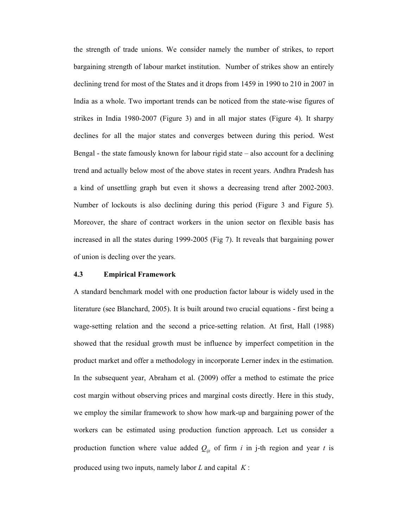the strength of trade unions. We consider namely the number of strikes, to report bargaining strength of labour market institution. Number of strikes show an entirely declining trend for most of the States and it drops from 1459 in 1990 to 210 in 2007 in India as a whole. Two important trends can be noticed from the state-wise figures of strikes in India 1980-2007 (Figure 3) and in all major states (Figure 4). It sharpy declines for all the major states and converges between during this period. West Bengal - the state famously known for labour rigid state – also account for a declining trend and actually below most of the above states in recent years. Andhra Pradesh has a kind of unsettling graph but even it shows a decreasing trend after 2002-2003. Number of lockouts is also declining during this period (Figure 3 and Figure 5). Moreover, the share of contract workers in the union sector on flexible basis has increased in all the states during 1999-2005 (Fig 7). It reveals that bargaining power of union is decling over the years.

## **4.3 Empirical Framework**

A standard benchmark model with one production factor labour is widely used in the literature (see Blanchard, 2005). It is built around two crucial equations - first being a wage-setting relation and the second a price-setting relation. At first, Hall (1988) showed that the residual growth must be influence by imperfect competition in the product market and offer a methodology in incorporate Lerner index in the estimation. In the subsequent year, Abraham et al. (2009) offer a method to estimate the price cost margin without observing prices and marginal costs directly. Here in this study, we employ the similar framework to show how mark-up and bargaining power of the workers can be estimated using production function approach. Let us consider a production function where value added  $Q_{ijt}$  of firm *i* in j-th region and year *t* is produced using two inputs, namely labor *L* and capital *K* :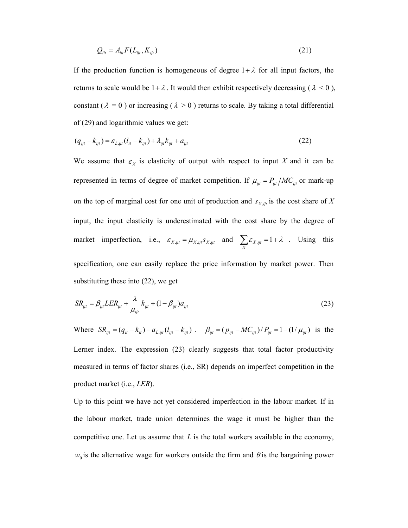$$
Q_{ii} = A_{ii} F(L_{ijt}, K_{ijt})
$$
\n(21)

If the production function is homogeneous of degree  $1 + \lambda$  for all input factors, the returns to scale would be  $1 + \lambda$ . It would then exhibit respectively decreasing ( $\lambda < 0$ ), constant ( $\lambda = 0$ ) or increasing ( $\lambda > 0$ ) returns to scale. By taking a total differential of (29) and logarithmic values we get:

$$
(q_{ijt} - k_{ijt}) = \varepsilon_{L, ijt} (l_{it} - k_{ijt}) + \lambda_{ijt} k_{ijt} + a_{ijt}
$$
 (22)

We assume that  $\varepsilon_X$  is elasticity of output with respect to input X and it can be represented in terms of degree of market competition. If  $\mu_{ijt} = P_{ijt}/MC_{ijt}$  or mark-up on the top of marginal cost for one unit of production and  $s_{X, jit}$  is the cost share of X input, the input elasticity is underestimated with the cost share by the degree of market imperfection, i.e.,  $\varepsilon_{X, ijt} = \mu_{X, ijt} s_{X, ijt}$  and  $\sum_{X} \varepsilon_{X, ijt} = 1 + \lambda$ . Using this specification, one can easily replace the price information by market power. Then substituting these into (22), we get

$$
SR_{ijt} = \beta_{ijt} LER_{ijt} + \frac{\lambda}{\mu_{ijt}} k_{ijt} + (1 - \beta_{ijt}) a_{ijt}
$$
 (23)

Where  $SR_{ijt} = (q_{it} - k_{it}) - a_{L,ijt} (l_{ijt} - k_{ijt})$ .  $\beta_{ijt} = (p_{ijt} - MC_{ijt})/P_{ijt} = 1 - (1/\mu_{ijt})$  is the Lerner index. The expression (23) clearly suggests that total factor productivity measured in terms of factor shares (i.e., SR) depends on imperfect competition in the product market (i.e., *LER*).

Up to this point we have not yet considered imperfection in the labour market. If in the labour market, trade union determines the wage it must be higher than the competitive one. Let us assume that  $\overline{L}$  is the total workers available in the economy,  $w_0$  is the alternative wage for workers outside the firm and  $\theta$  is the bargaining power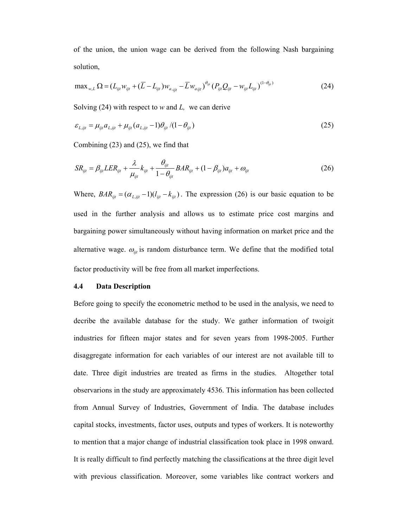of the union, the union wage can be derived from the following Nash bargaining solution,

$$
\max_{w,L} \Omega = (L_{ijl} w_{ijl} + (\overline{L} - L_{ijl}) w_{a,ijl} - \overline{L} w_{aijl})^{\theta_{ijl}} (P_{ijl} Q_{ijl} - w_{ijl} L_{ijl})^{(1-\theta_{ijl})}
$$
(24)

Solving (24) with respect to *w* and *L,* we can derive

$$
\varepsilon_{L,ijt} = \mu_{ijt} a_{L,ijt} + \mu_{ijt} (a_{L,ijt} - 1) \theta_{ijt} / (1 - \theta_{ijt})
$$
\n(25)

Combining (23) and (25), we find that

$$
SR_{ijt} = \beta_{ijt} LER_{ijt} + \frac{\lambda}{\mu_{ijt}} k_{ijt} + \frac{\theta_{ijt}}{1 - \theta_{ijt}} BAR_{ijt} + (1 - \beta_{ijt}) a_{ijt} + \omega_{ijt}
$$
(26)

Where,  $BAR_{ijt} = (\alpha_{L,ijt} - 1)(l_{ijt} - k_{ijt})$ . The expression (26) is our basic equation to be used in the further analysis and allows us to estimate price cost margins and bargaining power simultaneously without having information on market price and the alternative wage.  $\omega_{ijt}$  is random disturbance term. We define that the modified total factor productivity will be free from all market imperfections.

## **4.4 Data Description**

Before going to specify the econometric method to be used in the analysis, we need to decribe the available database for the study. We gather information of twoigit industries for fifteen major states and for seven years from 1998-2005. Further disaggregate information for each variables of our interest are not available till to date. Three digit industries are treated as firms in the studies. Altogether total observarions in the study are approximately 4536. This information has been collected from Annual Survey of Industries, Government of India. The database includes capital stocks, investments, factor uses, outputs and types of workers. It is noteworthy to mention that a major change of industrial classification took place in 1998 onward. It is really difficult to find perfectly matching the classifications at the three digit level with previous classification. Moreover, some variables like contract workers and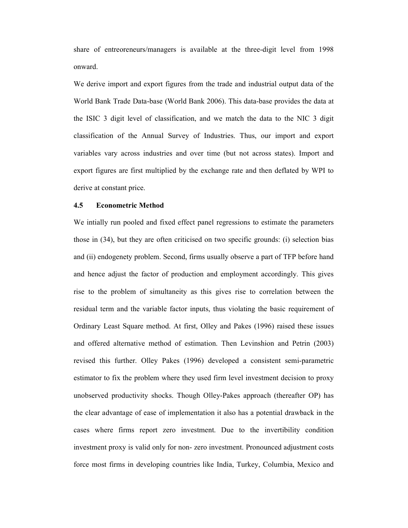share of entreoreneurs/managers is available at the three-digit level from 1998 onward.

We derive import and export figures from the trade and industrial output data of the World Bank Trade Data-base (World Bank 2006). This data-base provides the data at the ISIC 3 digit level of classification, and we match the data to the NIC 3 digit classification of the Annual Survey of Industries. Thus, our import and export variables vary across industries and over time (but not across states). Import and export figures are first multiplied by the exchange rate and then deflated by WPI to derive at constant price.

## **4.5 Econometric Method**

We intially run pooled and fixed effect panel regressions to estimate the parameters those in (34), but they are often criticised on two specific grounds: (i) selection bias and (ii) endogenety problem. Second, firms usually observe a part of TFP before hand and hence adjust the factor of production and employment accordingly. This gives rise to the problem of simultaneity as this gives rise to correlation between the residual term and the variable factor inputs, thus violating the basic requirement of Ordinary Least Square method. At first, Olley and Pakes (1996) raised these issues and offered alternative method of estimation. Then Levinshion and Petrin (2003) revised this further. Olley Pakes (1996) developed a consistent semi-parametric estimator to fix the problem where they used firm level investment decision to proxy unobserved productivity shocks. Though Olley-Pakes approach (thereafter OP) has the clear advantage of ease of implementation it also has a potential drawback in the cases where firms report zero investment. Due to the invertibility condition investment proxy is valid only for non- zero investment. Pronounced adjustment costs force most firms in developing countries like India, Turkey, Columbia, Mexico and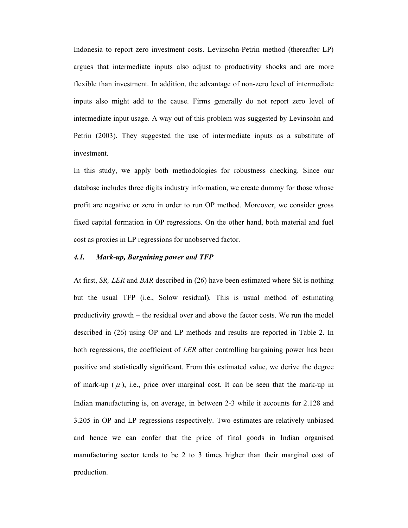Indonesia to report zero investment costs. Levinsohn-Petrin method (thereafter LP) argues that intermediate inputs also adjust to productivity shocks and are more flexible than investment. In addition, the advantage of non-zero level of intermediate inputs also might add to the cause. Firms generally do not report zero level of intermediate input usage. A way out of this problem was suggested by Levinsohn and Petrin (2003). They suggested the use of intermediate inputs as a substitute of investment.

In this study, we apply both methodologies for robustness checking. Since our database includes three digits industry information, we create dummy for those whose profit are negative or zero in order to run OP method. Moreover, we consider gross fixed capital formation in OP regressions. On the other hand, both material and fuel cost as proxies in LP regressions for unobserved factor.

## *4.1. Mark-up, Bargaining power and TFP*

At first, *SR, LER* and *BAR* described in (26) have been estimated where SR is nothing but the usual TFP (i.e., Solow residual). This is usual method of estimating productivity growth – the residual over and above the factor costs. We run the model described in (26) using OP and LP methods and results are reported in Table 2. In both regressions, the coefficient of *LER* after controlling bargaining power has been positive and statistically significant. From this estimated value, we derive the degree of mark-up  $(\mu)$ , i.e., price over marginal cost. It can be seen that the mark-up in Indian manufacturing is, on average, in between 2-3 while it accounts for 2.128 and 3.205 in OP and LP regressions respectively. Two estimates are relatively unbiased and hence we can confer that the price of final goods in Indian organised manufacturing sector tends to be 2 to 3 times higher than their marginal cost of production.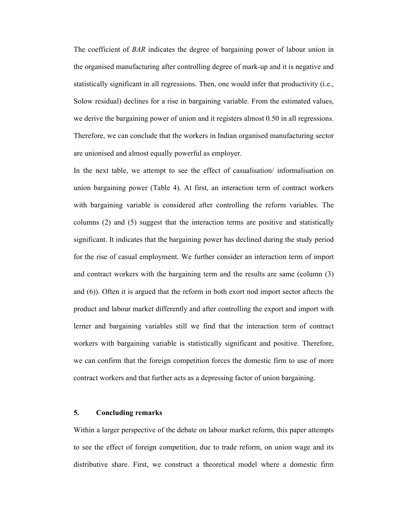The coefficient of *BAR* indicates the degree of bargaining power of labour union in the organised manufacturing after controlling degree of mark-up and it is negative and statistically significant in all regressions. Then, one would infer that productivity (i.e., Solow residual) declines for a rise in bargaining variable. From the estimated values, we derive the bargaining power of union and it registers almost 0.50 in all regressions. Therefore, we can conclude that the workers in Indian organised manufacturing sector are unionised and almost equally powerful as employer.

In the next table, we attempt to see the effect of casualisation/ informalisation on union bargaining power (Table 4). At first, an interaction term of contract workers with bargaining variable is considered after controlling the reform variables. The columns (2) and (5) suggest that the interaction terms are positive and statistically significant. It indicates that the bargaining power has declined during the study period for the rise of casual employment. We further consider an interaction term of import and contract workers with the bargaining term and the results are same (column (3) and (6)). Often it is argued that the reform in both exort nod import sector aftects the product and labour market differently and after controlling the export and import with lerner and bargaining variables still we find that the interaction term of contract workers with bargaining variable is statistically significant and positive. Therefore, we can confirm that the foreign competition forces the domestic firm to use of more contract workers and that further acts as a depressing factor of union bargaining.

#### **5. Concluding remarks**

Within a larger perspective of the debate on labour market reform, this paper attempts to see the effect of foreign competition, due to trade reform, on union wage and its distributive share. First, we construct a theoretical model where a domestic firm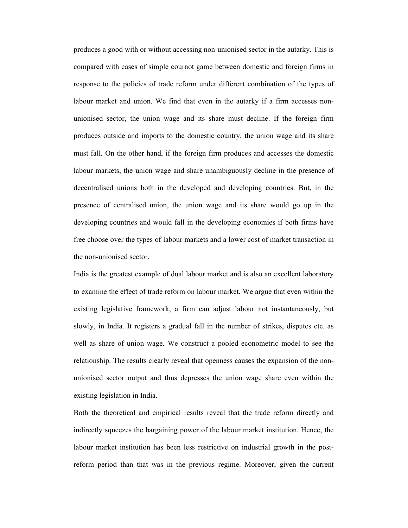produces a good with or without accessing non-unionised sector in the autarky. This is compared with cases of simple cournot game between domestic and foreign firms in response to the policies of trade reform under different combination of the types of labour market and union. We find that even in the autarky if a firm accesses nonunionised sector, the union wage and its share must decline. If the foreign firm produces outside and imports to the domestic country, the union wage and its share must fall. On the other hand, if the foreign firm produces and accesses the domestic labour markets, the union wage and share unambiguously decline in the presence of decentralised unions both in the developed and developing countries. But, in the presence of centralised union, the union wage and its share would go up in the developing countries and would fall in the developing economies if both firms have free choose over the types of labour markets and a lower cost of market transaction in the non-unionised sector.

India is the greatest example of dual labour market and is also an excellent laboratory to examine the effect of trade reform on labour market. We argue that even within the existing legislative framework, a firm can adjust labour not instantaneously, but slowly, in India. It registers a gradual fall in the number of strikes, disputes etc. as well as share of union wage. We construct a pooled econometric model to see the relationship. The results clearly reveal that openness causes the expansion of the nonunionised sector output and thus depresses the union wage share even within the existing legislation in India.

Both the theoretical and empirical results reveal that the trade reform directly and indirectly squeezes the bargaining power of the labour market institution. Hence, the labour market institution has been less restrictive on industrial growth in the postreform period than that was in the previous regime. Moreover, given the current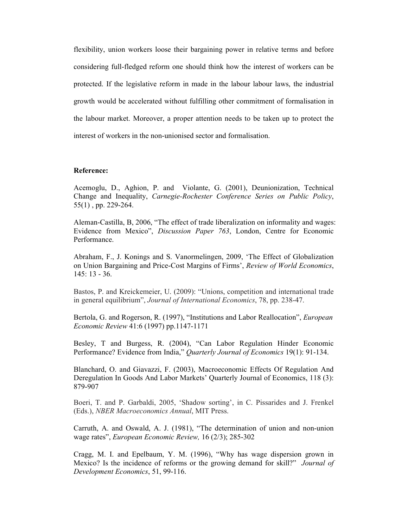flexibility, union workers loose their bargaining power in relative terms and before considering full-fledged reform one should think how the interest of workers can be protected. If the legislative reform in made in the labour labour laws, the industrial growth would be accelerated without fulfilling other commitment of formalisation in the labour market. Moreover, a proper attention needs to be taken up to protect the interest of workers in the non-unionised sector and formalisation.

#### **Reference:**

Acemoglu, D., Aghion, P. and Violante, G. (2001), Deunionization, Technical Change and Inequality, *Carnegie-Rochester Conference Series on Public Policy*, 55(1) , pp. 229-264.

Aleman-Castilla, B, 2006, "The effect of trade liberalization on informality and wages: Evidence from Mexico", *Discussion Paper 763*, London, Centre for Economic Performance.

Abraham, F., J. Konings and S. Vanormelingen, 2009, 'The Effect of Globalization on Union Bargaining and Price-Cost Margins of Firms', *Review of World Economics*, 145: 13 - 36.

Bastos, P. and Kreickemeier, U. (2009): "Unions, competition and international trade in general equilibrium", *Journal of International Economics*, 78, pp. 238-47.

Bertola, G. and Rogerson, R. (1997), "Institutions and Labor Reallocation", *European Economic Review* 41:6 (1997) pp.1147-1171

Besley, T and Burgess, R. (2004), "Can Labor Regulation Hinder Economic Performance? Evidence from India," *Quarterly Journal of Economics* 19(1): 91-134.

Blanchard, O. and Giavazzi, F. (2003), Macroeconomic Effects Of Regulation And Deregulation In Goods And Labor Markets' Quarterly Journal of Economics, 118 (3): 879-907

Boeri, T. and P. Garbaldi, 2005, 'Shadow sorting', in C. Pissarides and J. Frenkel (Eds.), *NBER Macroeconomics Annual*, MIT Press.

Carruth, A. and Oswald, A. J. (1981), "The determination of union and non-union wage rates", *European Economic Review,* 16 (2/3); 285-302

Cragg, M. I. and Epelbaum, Y. M. (1996), "Why has wage dispersion grown in Mexico? Is the incidence of reforms or the growing demand for skill?" *Journal of Development Economics*, 51, 99-116.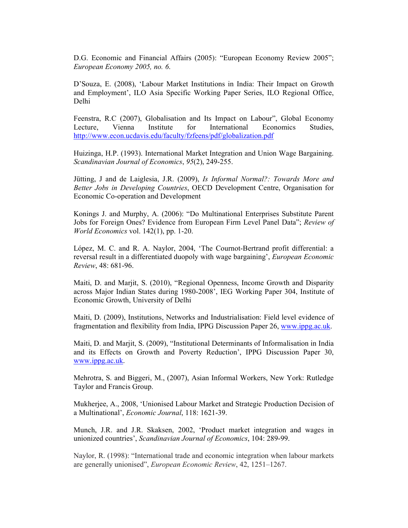D.G. Economic and Financial Affairs (2005): "European Economy Review 2005"; *European Economy 2005, no. 6*.

D'Souza, E. (2008), 'Labour Market Institutions in India: Their Impact on Growth and Employment', ILO Asia Specific Working Paper Series, ILO Regional Office, Delhi

Feenstra, R.C (2007), Globalisation and Its Impact on Labour", Global Economy Lecture, Vienna Institute for International Economics Studies, http://www.econ.ucdavis.edu/faculty/fzfeens/pdf/globalization.pdf

Huizinga, H.P. (1993). International Market Integration and Union Wage Bargaining. *Scandinavian Journal of Economics*, *95*(2), 249-255.

Jütting, J and de Laiglesia, J.R. (2009), *Is Informal Normal?: Towards More and Better Jobs in Developing Countries*, OECD Development Centre, Organisation for Economic Co-operation and Development

Konings J. and Murphy, A. (2006): "Do Multinational Enterprises Substitute Parent Jobs for Foreign Ones? Evidence from European Firm Level Panel Data"; *Review of World Economics* vol. 142(1), pp. 1-20.

López, M. C. and R. A. Naylor, 2004, 'The Cournot-Bertrand profit differential: a reversal result in a differentiated duopoly with wage bargaining', *European Economic Review*, 48: 681-96.

Maiti, D. and Marjit, S. (2010), "Regional Openness, Income Growth and Disparity across Major Indian States during 1980-2008', IEG Working Paper 304, Institute of Economic Growth, University of Delhi

Maiti, D. (2009), Institutions, Networks and Industrialisation: Field level evidence of fragmentation and flexibility from India, IPPG Discussion Paper 26, www.ippg.ac.uk.

Maiti, D. and Marjit, S. (2009), "Institutional Determinants of Informalisation in India and its Effects on Growth and Poverty Reduction', IPPG Discussion Paper 30, www.ippg.ac.uk.

Mehrotra, S. and Biggeri, M., (2007), Asian Informal Workers, New York: Rutledge Taylor and Francis Group.

Mukherjee, A., 2008, 'Unionised Labour Market and Strategic Production Decision of a Multinational', *Economic Journal*, 118: 1621-39.

Munch, J.R. and J.R. Skaksen, 2002, 'Product market integration and wages in unionized countries', *Scandinavian Journal of Economics*, 104: 289-99.

Naylor, R. (1998): "International trade and economic integration when labour markets are generally unionised", *European Economic Review*, 42, 1251–1267.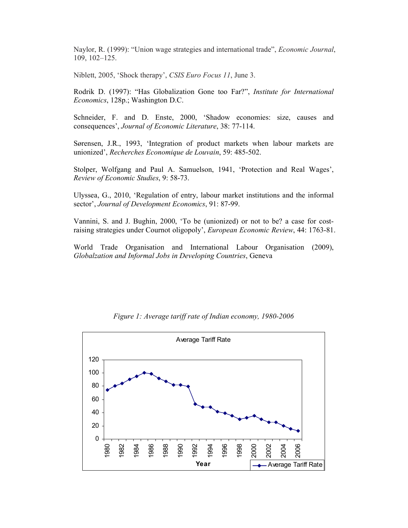Naylor, R. (1999): "Union wage strategies and international trade", *Economic Journal*, 109, 102–125.

Niblett, 2005, 'Shock therapy', *CSIS Euro Focus 11*, June 3.

Rodrik D. (1997): "Has Globalization Gone too Far?", *Institute for International Economics*, 128p.; Washington D.C.

Schneider, F. and D. Enste, 2000, 'Shadow economies: size, causes and consequences', *Journal of Economic Literature*, 38: 77-114.

Sørensen, J.R., 1993, 'Integration of product markets when labour markets are unionized', *Recherches Economique de Louvain*, 59: 485-502.

Stolper, Wolfgang and Paul A. Samuelson, 1941, 'Protection and Real Wages', *Review of Economic Studies*, 9: 58-73.

Ulyssea, G., 2010, 'Regulation of entry, labour market institutions and the informal sector', *Journal of Development Economics*, 91: 87-99.

Vannini, S. and J. Bughin, 2000, 'To be (unionized) or not to be? a case for costraising strategies under Cournot oligopoly', *European Economic Review*, 44: 1763-81.

World Trade Organisation and International Labour Organisation (2009), *Globalzation and Informal Jobs in Developing Countries*, Geneva



*Figure 1: Average tariff rate of Indian economy, 1980-2006*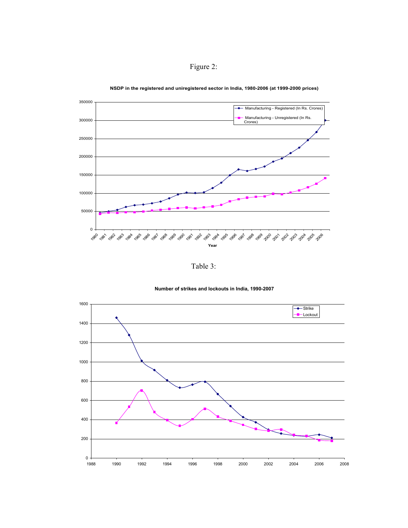



**NSDP in the registered and uniregistered sector in India, 1980-2006 (at 1999-2000 prices)**

Table 3:



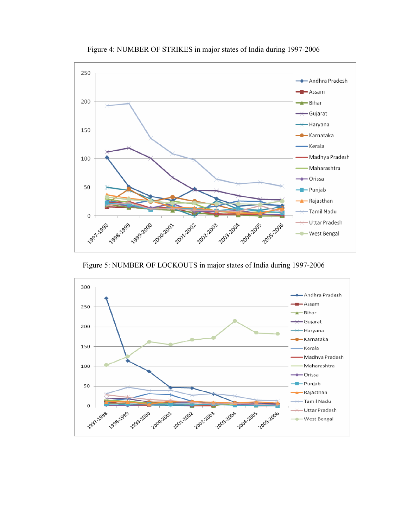

Figure 4: NUMBER OF STRIKES in major states of India during 1997-2006

Figure 5: NUMBER OF LOCKOUTS in major states of India during 1997-2006

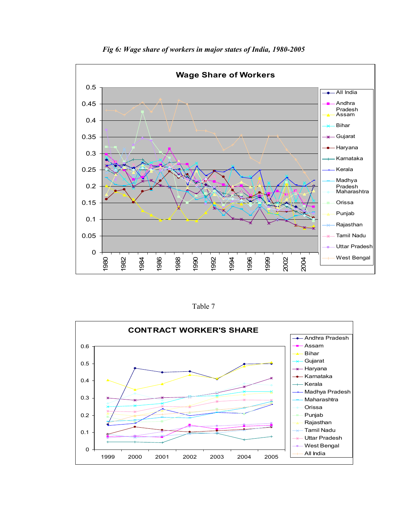

*Fig 6: Wage share of workers in major states of India, 1980-2005* 

Table 7

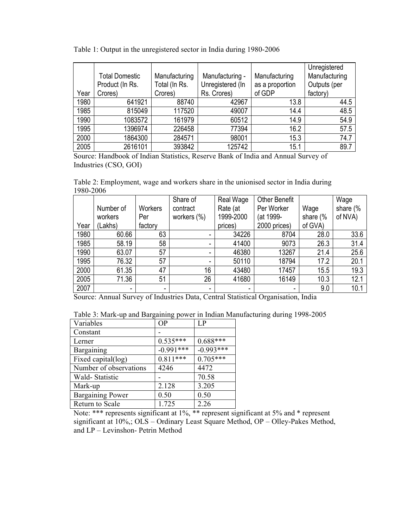|  | Table 1: Output in the unregistered sector in India during 1980-2006 |  |  |
|--|----------------------------------------------------------------------|--|--|
|  |                                                                      |  |  |

| Year | <b>Total Domestic</b><br>Product (In Rs.<br>Crores) | Manufacturing<br>Total (In Rs.<br>Crores) | Manufacturing -<br>Unregistered (In<br>Rs. Crores) | Manufacturing<br>as a proportion<br>of GDP | Unregistered<br>Manufacturing<br>Outputs (per<br>factory) |
|------|-----------------------------------------------------|-------------------------------------------|----------------------------------------------------|--------------------------------------------|-----------------------------------------------------------|
| 1980 | 641921                                              | 88740                                     | 42967                                              | 13.8                                       | 44.5                                                      |
| 1985 | 815049                                              | 117520                                    | 49007                                              | 14.4                                       | 48.5                                                      |
| 1990 | 1083572                                             | 161979                                    | 60512                                              | 14.9                                       | 54.9                                                      |
| 1995 | 1396974                                             | 226458                                    | 77394                                              | 16.2                                       | 57.5                                                      |
| 2000 | 1864300                                             | 284571                                    | 98001                                              | 15.3                                       | 74.7                                                      |
| 2005 | 2616101                                             | 393842                                    | 125742                                             | 15.1                                       | 89.7                                                      |

Source: Handbook of Indian Statistics, Reserve Bank of India and Annual Survey of Industries (CSO, GOI)

Table 2: Employment, wage and workers share in the unionised sector in India during 1980-2006

|      |           |         | Share of        | Real Wage      | <b>Other Benefit</b> |          | Wage     |
|------|-----------|---------|-----------------|----------------|----------------------|----------|----------|
|      | Number of | Workers | contract        | Rate (at       | Per Worker           | Wage     | share (% |
|      | workers   | Per     | workers $(\% )$ | 1999-2000      | (at 1999-            | share (% | of NVA)  |
| Year | (Lakhs)   | factory |                 | prices)        | 2000 prices)         | of GVA)  |          |
| 1980 | 60.66     | 63      |                 | 34226          | 8704                 | 28.0     | 33.6     |
| 1985 | 58.19     | 58      |                 | 41400          | 9073                 | 26.3     | 31.4     |
| 1990 | 63.07     | 57      |                 | 46380          | 13267                | 21.4     | 25.6     |
| 1995 | 76.32     | 57      |                 | 50110          | 18794                | 17.2     | 20.1     |
| 2000 | 61.35     | 47      | 16              | 43480          | 17457                | 15.5     | 19.3     |
| 2005 | 71.36     | 51      | 26              | 41680          | 16149                | 10.3     | 12.1     |
| 2007 | -         | -       | ٠               | $\blacksquare$ | ٠                    | 9.0      | 10.1     |

|  |  | Table 3: Mark-up and Bargaining power in Indian Manufacturing during 1998-2005 |
|--|--|--------------------------------------------------------------------------------|
|  |  |                                                                                |

| Source: Annual Survey of Industries Data, Central Statistical Organisation, India |             |             |  |  |  |  |
|-----------------------------------------------------------------------------------|-------------|-------------|--|--|--|--|
| Table 3: Mark-up and Bargaining power in Indian Manufacturing during 1998-2005    |             |             |  |  |  |  |
| Variables                                                                         | OP          | LP          |  |  |  |  |
| Constant                                                                          |             |             |  |  |  |  |
| Lerner                                                                            | $0.535***$  | $0.688***$  |  |  |  |  |
| Bargaining                                                                        | $-0.991***$ | $-0.993***$ |  |  |  |  |
| Fixed capital(log)                                                                | $0.811***$  | $0.705***$  |  |  |  |  |
| Number of observations                                                            | 4246        | 4472        |  |  |  |  |
| Wald-Statistic                                                                    |             | 70.58       |  |  |  |  |
| Mark-up                                                                           | 2.128       | 3.205       |  |  |  |  |
| <b>Bargaining Power</b>                                                           | 0.50        | 0.50        |  |  |  |  |
| Return to Scale                                                                   | 1.725       | 2.26        |  |  |  |  |

Note: \*\*\* represents significant at 1%, \*\* represent significant at 5% and \* represent significant at 10%,; OLS – Ordinary Least Square Method, OP – Olley-Pakes Method, and LP – Levinshon- Petrin Method